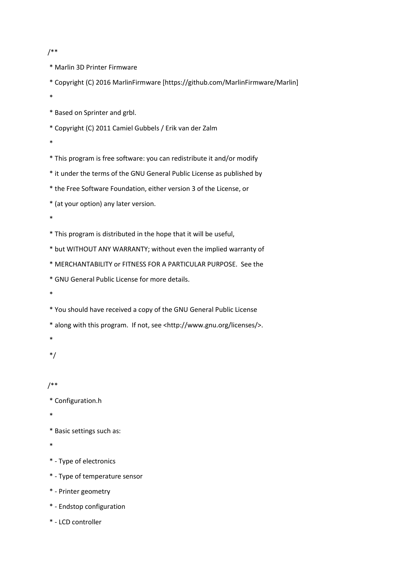```
/**
```
\* Marlin 3D Printer Firmware

\* Copyright (C) 2016 MarlinFirmware [https://github.com/MarlinFirmware/Marlin]

\*

\* Based on Sprinter and grbl.

\* Copyright (C) 2011 Camiel Gubbels / Erik van der Zalm

\*

\* This program is free software: you can redistribute it and/or modify

- \* it under the terms of the GNU General Public License as published by
- \* the Free Software Foundation, either version 3 of the License, or

\* (at your option) any later version.

\*

- \* This program is distributed in the hope that it will be useful,
- \* but WITHOUT ANY WARRANTY; without even the implied warranty of
- \* MERCHANTABILITY or FITNESS FOR A PARTICULAR PURPOSE. See the
- \* GNU General Public License for more details.
- \*

\* You should have received a copy of the GNU General Public License

\* along with this program. If not, see <http://www.gnu.org/licenses/>.

\*

\*/

## /\*\*

\* Configuration.h

\*

- \* Basic settings such as:
- \*
- \* Type of electronics
- \* Type of temperature sensor
- \* Printer geometry
- \* Endstop configuration
- \* LCD controller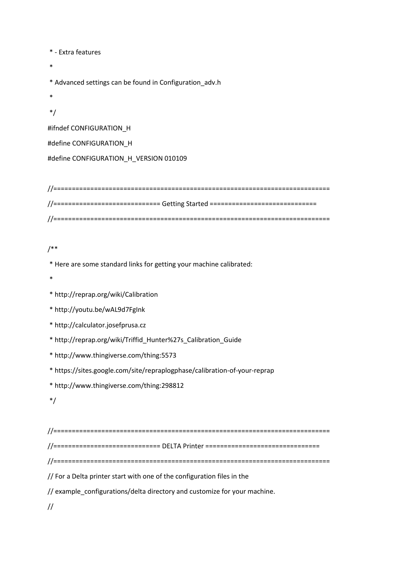\* - Extra features

\*

\* Advanced settings can be found in Configuration\_adv.h

\*

\*/

#ifndef CONFIGURATION\_H

#define CONFIGURATION\_H

#define CONFIGURATION\_H\_VERSION 010109

//=========================================================================== //============================= Getting Started ============================= //===========================================================================

/\*\*

\* Here are some standard links for getting your machine calibrated:

\*

\* http://reprap.org/wiki/Calibration

\* http://youtu.be/wAL9d7FgInk

\* http://calculator.josefprusa.cz

\* http://reprap.org/wiki/Triffid\_Hunter%27s\_Calibration\_Guide

\* http://www.thingiverse.com/thing:5573

\* https://sites.google.com/site/repraplogphase/calibration-of-your-reprap

\* http://www.thingiverse.com/thing:298812

\*/

//===========================================================================

//============================= DELTA Printer ===============================

//===========================================================================

// For a Delta printer start with one of the configuration files in the

// example\_configurations/delta directory and customize for your machine.

//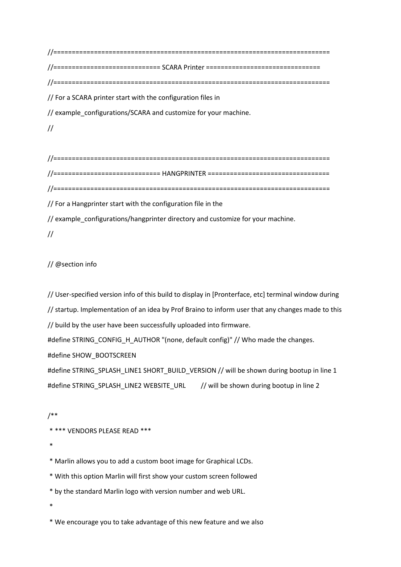//=========================================================================== //============================= SCARA Printer =============================== //=========================================================================== // For a SCARA printer start with the configuration files in // example\_configurations/SCARA and customize for your machine. //

//=========================================================================== //============================= HANGPRINTER ================================= //=========================================================================== // For a Hangprinter start with the configuration file in the

// example\_configurations/hangprinter directory and customize for your machine.

//

// @section info

// User-specified version info of this build to display in [Pronterface, etc] terminal window during // startup. Implementation of an idea by Prof Braino to inform user that any changes made to this // build by the user have been successfully uploaded into firmware.

#define STRING\_CONFIG\_H\_AUTHOR "(none, default config)" // Who made the changes.

#define SHOW\_BOOTSCREEN

#define STRING\_SPLASH\_LINE1 SHORT\_BUILD\_VERSION // will be shown during bootup in line 1 #define STRING\_SPLASH\_LINE2 WEBSITE\_URL // will be shown during bootup in line 2

/\*\*

\* \*\*\* VENDORS PLEASE READ \*\*\*

\*

\* Marlin allows you to add a custom boot image for Graphical LCDs.

\* With this option Marlin will first show your custom screen followed

\* by the standard Marlin logo with version number and web URL.

\*

\* We encourage you to take advantage of this new feature and we also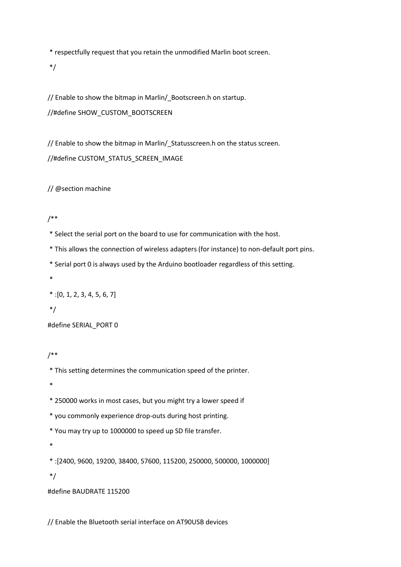\* respectfully request that you retain the unmodified Marlin boot screen.

\*/

// Enable to show the bitmap in Marlin/\_Bootscreen.h on startup. //#define SHOW\_CUSTOM\_BOOTSCREEN

// Enable to show the bitmap in Marlin/\_Statusscreen.h on the status screen. //#define CUSTOM\_STATUS\_SCREEN\_IMAGE

// @section machine

/\*\*

\* Select the serial port on the board to use for communication with the host.

\* This allows the connection of wireless adapters (for instance) to non-default port pins.

\* Serial port 0 is always used by the Arduino bootloader regardless of this setting.

\*

 $*$ : [0, 1, 2, 3, 4, 5, 6, 7]

\*/

#define SERIAL\_PORT 0

/\*\*

\* This setting determines the communication speed of the printer.

\*

\* 250000 works in most cases, but you might try a lower speed if

\* you commonly experience drop-outs during host printing.

\* You may try up to 1000000 to speed up SD file transfer.

\*

\* :[2400, 9600, 19200, 38400, 57600, 115200, 250000, 500000, 1000000]

\*/

#define BAUDRATE 115200

// Enable the Bluetooth serial interface on AT90USB devices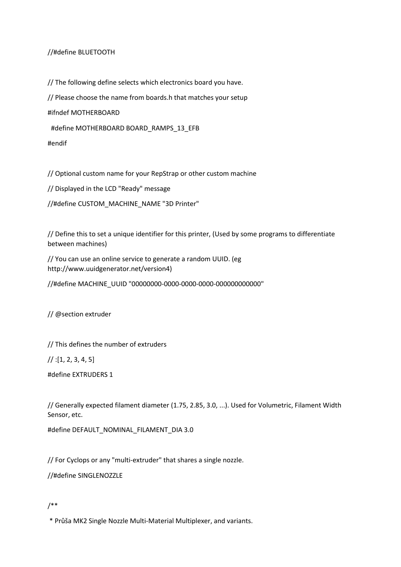## //#define BLUETOOTH

// The following define selects which electronics board you have.

// Please choose the name from boards.h that matches your setup

#ifndef MOTHERBOARD

#define MOTHERBOARD BOARD\_RAMPS\_13\_EFB

#endif

// Optional custom name for your RepStrap or other custom machine

// Displayed in the LCD "Ready" message

//#define CUSTOM\_MACHINE\_NAME "3D Printer"

// Define this to set a unique identifier for this printer, (Used by some programs to differentiate between machines)

// You can use an online service to generate a random UUID. (eg http://www.uuidgenerator.net/version4)

//#define MACHINE\_UUID "00000000-0000-0000-0000-000000000000"

// @section extruder

// This defines the number of extruders

 $\frac{1}{1}$ : [1, 2, 3, 4, 5]

#define EXTRUDERS 1

// Generally expected filament diameter (1.75, 2.85, 3.0, ...). Used for Volumetric, Filament Width Sensor, etc.

#define DEFAULT\_NOMINAL\_FILAMENT\_DIA 3.0

// For Cyclops or any "multi-extruder" that shares a single nozzle.

//#define SINGLENOZZLE

## /\*\*

\* Průša MK2 Single Nozzle Multi-Material Multiplexer, and variants.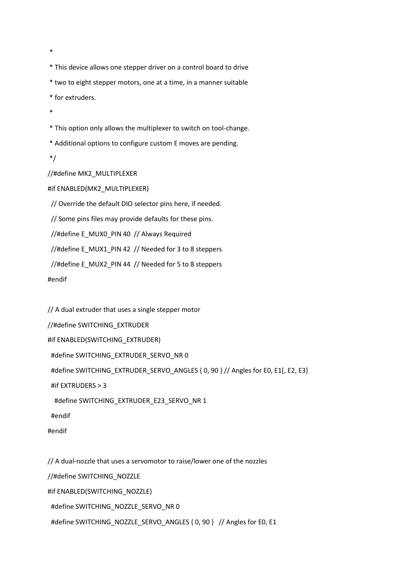\*

\* This device allows one stepper driver on a control board to drive

\* two to eight stepper motors, one at a time, in a manner suitable

\* for extruders.

\*

\* This option only allows the multiplexer to switch on tool-change.

\* Additional options to configure custom E moves are pending.

\*/

//#define MK2\_MULTIPLEXER

#if ENABLED(MK2\_MULTIPLEXER)

// Override the default DIO selector pins here, if needed.

// Some pins files may provide defaults for these pins.

//#define E\_MUX0\_PIN 40 // Always Required

//#define E\_MUX1\_PIN 42 // Needed for 3 to 8 steppers

//#define E\_MUX2\_PIN 44 // Needed for 5 to 8 steppers

#endif

// A dual extruder that uses a single stepper motor

//#define SWITCHING\_EXTRUDER

#if ENABLED(SWITCHING\_EXTRUDER)

#define SWITCHING\_EXTRUDER\_SERVO\_NR 0

#define SWITCHING\_EXTRUDER\_SERVO\_ANGLES { 0, 90 } // Angles for E0, E1[, E2, E3]

#if EXTRUDERS > 3

#define SWITCHING\_EXTRUDER\_E23\_SERVO\_NR 1

#endif

#endif

// A dual-nozzle that uses a servomotor to raise/lower one of the nozzles //#define SWITCHING\_NOZZLE #if ENABLED(SWITCHING\_NOZZLE) #define SWITCHING\_NOZZLE\_SERVO\_NR 0 #define SWITCHING\_NOZZLE\_SERVO\_ANGLES { 0, 90 } // Angles for E0, E1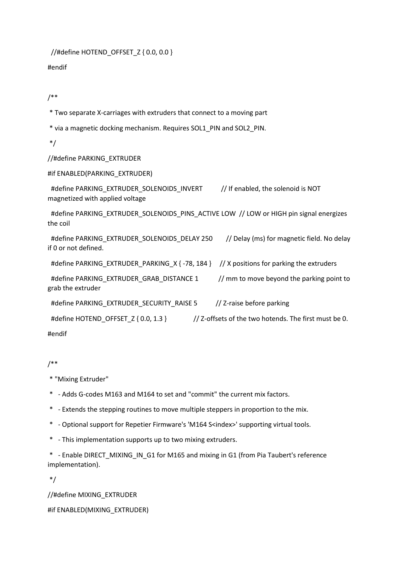//#define HOTEND\_OFFSET\_Z { 0.0, 0.0 }

#endif

/\*\*

\* Two separate X-carriages with extruders that connect to a moving part

\* via a magnetic docking mechanism. Requires SOL1\_PIN and SOL2\_PIN.

\*/

## //#define PARKING\_EXTRUDER

#if ENABLED(PARKING\_EXTRUDER)

 #define PARKING\_EXTRUDER\_SOLENOIDS\_INVERT // If enabled, the solenoid is NOT magnetized with applied voltage

#define PARKING\_EXTRUDER\_SOLENOIDS\_PINS\_ACTIVE LOW // LOW or HIGH pin signal energizes the coil

#define PARKING\_EXTRUDER\_SOLENOIDS\_DELAY 250 // Delay (ms) for magnetic field. No delay if 0 or not defined.

#define PARKING\_EXTRUDER\_PARKING\_X { -78, 184 } // X positions for parking the extruders

#define PARKING\_EXTRUDER\_GRAB\_DISTANCE 1 // mm to move beyond the parking point to grab the extruder

#define PARKING\_EXTRUDER\_SECURITY\_RAISE 5 // Z-raise before parking

#define HOTEND\_OFFSET\_Z { 0.0, 1.3 } // Z-offsets of the two hotends. The first must be 0.

#endif

/\*\*

\* "Mixing Extruder"

- \* Adds G-codes M163 and M164 to set and "commit" the current mix factors.
- \* Extends the stepping routines to move multiple steppers in proportion to the mix.
- \* Optional support for Repetier Firmware's 'M164 S<index>' supporting virtual tools.
- \* This implementation supports up to two mixing extruders.

\* - Enable DIRECT\_MIXING\_IN\_G1 for M165 and mixing in G1 (from Pia Taubert's reference implementation).

\*/

//#define MIXING\_EXTRUDER #if ENABLED(MIXING\_EXTRUDER)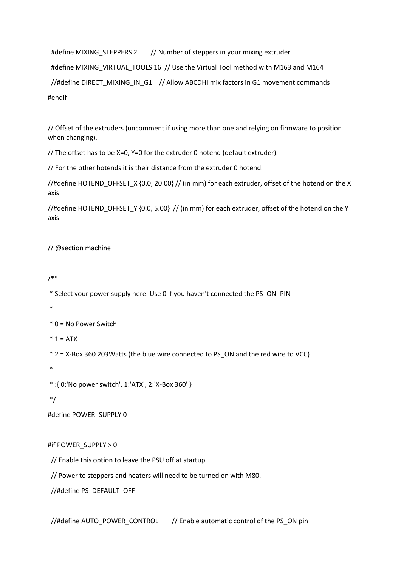#define MIXING\_STEPPERS 2 // Number of steppers in your mixing extruder #define MIXING\_VIRTUAL\_TOOLS 16 // Use the Virtual Tool method with M163 and M164 //#define DIRECT\_MIXING\_IN\_G1 // Allow ABCDHI mix factors in G1 movement commands #endif

// Offset of the extruders (uncomment if using more than one and relying on firmware to position when changing).

// The offset has to be X=0, Y=0 for the extruder 0 hotend (default extruder).

// For the other hotends it is their distance from the extruder 0 hotend.

//#define HOTEND\_OFFSET\_X {0.0, 20.00} // (in mm) for each extruder, offset of the hotend on the X axis

//#define HOTEND\_OFFSET\_Y {0.0, 5.00} // (in mm) for each extruder, offset of the hotend on the Y axis

// @section machine

/\*\*

\* Select your power supply here. Use 0 if you haven't connected the PS\_ON\_PIN

\*

\* 0 = No Power Switch

 $* 1 = ATX$ 

\* 2 = X-Box 360 203Watts (the blue wire connected to PS\_ON and the red wire to VCC)

\*

\* :{ 0:'No power switch', 1:'ATX', 2:'X-Box 360' }

\*/

#define POWER\_SUPPLY 0

#if POWER\_SUPPLY > 0

// Enable this option to leave the PSU off at startup.

// Power to steppers and heaters will need to be turned on with M80.

//#define PS\_DEFAULT\_OFF

//#define AUTO\_POWER\_CONTROL // Enable automatic control of the PS\_ON pin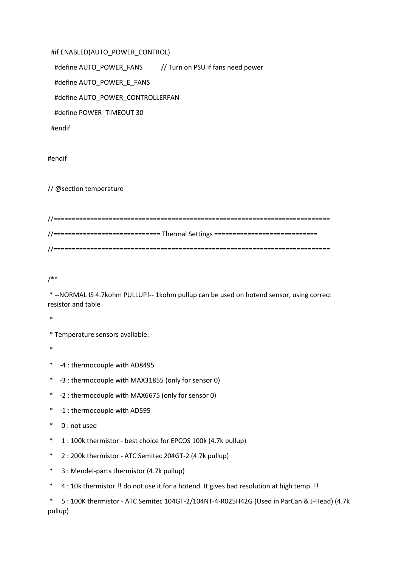#if ENABLED(AUTO\_POWER\_CONTROL) #define AUTO\_POWER\_FANS // Turn on PSU if fans need power #define AUTO\_POWER\_E\_FANS #define AUTO\_POWER\_CONTROLLERFAN #define POWER\_TIMEOUT 30 #endif

#endif

// @section temperature

| //============================= Thermal Settings ============================== |
|---------------------------------------------------------------------------------|
|                                                                                 |

/\*\*

\* --NORMAL IS 4.7kohm PULLUP!-- 1kohm pullup can be used on hotend sensor, using correct resistor and table

\*

\* Temperature sensors available:

\*

- \* -4 : thermocouple with AD8495
- \* -3 : thermocouple with MAX31855 (only for sensor 0)
- \* -2 : thermocouple with MAX6675 (only for sensor 0)
- \* -1 : thermocouple with AD595
- \* 0 : not used
- \* 1 : 100k thermistor best choice for EPCOS 100k (4.7k pullup)
- \* 2 : 200k thermistor ATC Semitec 204GT-2 (4.7k pullup)
- \* 3 : Mendel-parts thermistor (4.7k pullup)
- \* 4 : 10k thermistor !! do not use it for a hotend. It gives bad resolution at high temp. !!

\* 5 : 100K thermistor - ATC Semitec 104GT-2/104NT-4-R025H42G (Used in ParCan & J-Head) (4.7k pullup)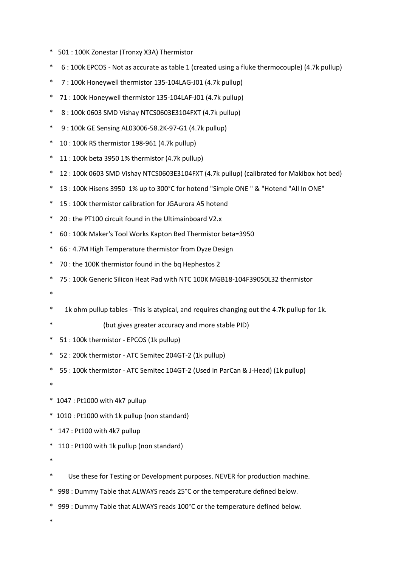- \* 501 : 100K Zonestar (Tronxy X3A) Thermistor
- \* 6 : 100k EPCOS Not as accurate as table 1 (created using a fluke thermocouple) (4.7k pullup)
- \* 7 : 100k Honeywell thermistor 135-104LAG-J01 (4.7k pullup)
- \* 71 : 100k Honeywell thermistor 135-104LAF-J01 (4.7k pullup)
- \* 8 : 100k 0603 SMD Vishay NTCS0603E3104FXT (4.7k pullup)
- \* 9 : 100k GE Sensing AL03006-58.2K-97-G1 (4.7k pullup)
- \* 10 : 100k RS thermistor 198-961 (4.7k pullup)
- \* 11 : 100k beta 3950 1% thermistor (4.7k pullup)
- \* 12 : 100k 0603 SMD Vishay NTCS0603E3104FXT (4.7k pullup) (calibrated for Makibox hot bed)
- \* 13 : 100k Hisens 3950 1% up to 300°C for hotend "Simple ONE " & "Hotend "All In ONE"
- \* 15 : 100k thermistor calibration for JGAurora A5 hotend
- \* 20 : the PT100 circuit found in the Ultimainboard V2.x
- \* 60 : 100k Maker's Tool Works Kapton Bed Thermistor beta=3950
- \* 66 : 4.7M High Temperature thermistor from Dyze Design
- \* 70 : the 100K thermistor found in the bq Hephestos 2
- \* 75 : 100k Generic Silicon Heat Pad with NTC 100K MGB18-104F39050L32 thermistor
- \*
- \* 1k ohm pullup tables This is atypical, and requires changing out the 4.7k pullup for 1k.
	- (but gives greater accuracy and more stable PID)
- \* 51 : 100k thermistor EPCOS (1k pullup)
- \* 52 : 200k thermistor ATC Semitec 204GT-2 (1k pullup)
- \* 55 : 100k thermistor ATC Semitec 104GT-2 (Used in ParCan & J-Head) (1k pullup)
- \*
- \* 1047 : Pt1000 with 4k7 pullup
- \* 1010 : Pt1000 with 1k pullup (non standard)
- \* 147 : Pt100 with 4k7 pullup
- \* 110 : Pt100 with 1k pullup (non standard)
- \*
- \* Use these for Testing or Development purposes. NEVER for production machine.
- \* 998 : Dummy Table that ALWAYS reads 25°C or the temperature defined below.
- \* 999 : Dummy Table that ALWAYS reads 100°C or the temperature defined below.

\*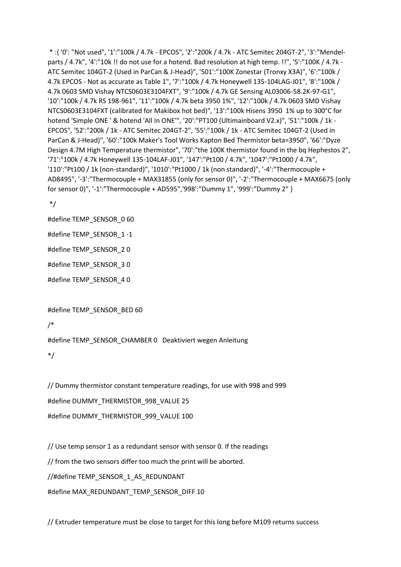\* :{ '0': "Not used", '1':"100k / 4.7k - EPCOS", '2':"200k / 4.7k - ATC Semitec 204GT-2", '3':"Mendelparts / 4.7k", '4':"10k !! do not use for a hotend. Bad resolution at high temp. !!", '5':"100K / 4.7k - ATC Semitec 104GT-2 (Used in ParCan & J-Head)", '501':"100K Zonestar (Tronxy X3A)", '6':"100k / 4.7k EPCOS - Not as accurate as Table 1", '7':"100k / 4.7k Honeywell 135-104LAG-J01", '8':"100k / 4.7k 0603 SMD Vishay NTCS0603E3104FXT", '9':"100k / 4.7k GE Sensing AL03006-58.2K-97-G1", '10':"100k / 4.7k RS 198-961", '11':"100k / 4.7k beta 3950 1%", '12':"100k / 4.7k 0603 SMD Vishay NTCS0603E3104FXT (calibrated for Makibox hot bed)", '13':"100k Hisens 3950 1% up to 300°C for hotend 'Simple ONE ' & hotend 'All In ONE'", '20':"PT100 (Ultimainboard V2.x)", '51':"100k / 1k - EPCOS", '52':"200k / 1k - ATC Semitec 204GT-2", '55':"100k / 1k - ATC Semitec 104GT-2 (Used in ParCan & J-Head)", '60':"100k Maker's Tool Works Kapton Bed Thermistor beta=3950", '66':"Dyze Design 4.7M High Temperature thermistor", '70':"the 100K thermistor found in the bq Hephestos 2", '71':"100k / 4.7k Honeywell 135-104LAF-J01", '147':"Pt100 / 4.7k", '1047':"Pt1000 / 4.7k", '110':"Pt100 / 1k (non-standard)", '1010':"Pt1000 / 1k (non standard)", '-4':"Thermocouple + AD8495", '-3':"Thermocouple + MAX31855 (only for sensor 0)", '-2':"Thermocouple + MAX6675 (only for sensor 0)", '-1':"Thermocouple + AD595",'998':"Dummy 1", '999':"Dummy 2" }

\*/

#define TEMP\_SENSOR\_0 60

#define TEMP\_SENSOR\_1 -1

#define TEMP\_SENSOR\_2 0

#define TEMP\_SENSOR\_3 0

#define TEMP\_SENSOR\_4 0

#define TEMP\_SENSOR\_BED 60

```
/*
```
#define TEMP\_SENSOR\_CHAMBER 0 Deaktiviert wegen Anleitung

\*/

// Dummy thermistor constant temperature readings, for use with 998 and 999

#define DUMMY\_THERMISTOR\_998\_VALUE 25

#define DUMMY\_THERMISTOR\_999\_VALUE 100

// Use temp sensor 1 as a redundant sensor with sensor 0. If the readings // from the two sensors differ too much the print will be aborted. //#define TEMP\_SENSOR\_1\_AS\_REDUNDANT

#define MAX\_REDUNDANT\_TEMP\_SENSOR\_DIFF 10

// Extruder temperature must be close to target for this long before M109 returns success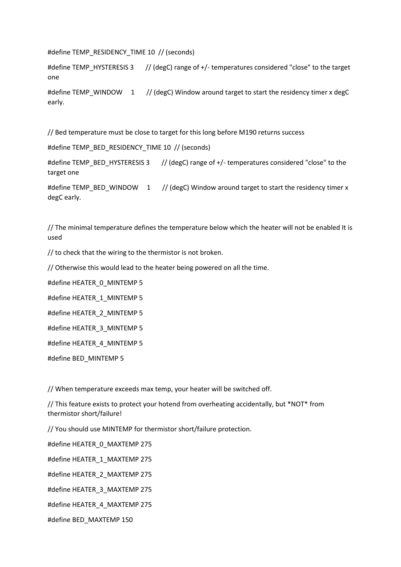#define TEMP\_RESIDENCY\_TIME 10 // (seconds)

#define TEMP\_HYSTERESIS 3 // (degC) range of +/- temperatures considered "close" to the target one

#define TEMP\_WINDOW 1 // (degC) Window around target to start the residency timer x degC early.

// Bed temperature must be close to target for this long before M190 returns success

#define TEMP\_BED\_RESIDENCY\_TIME 10 // (seconds)

#define TEMP\_BED\_HYSTERESIS 3 // (degC) range of +/- temperatures considered "close" to the target one

#define TEMP\_BED\_WINDOW 1 // (degC) Window around target to start the residency timer x degC early.

// The minimal temperature defines the temperature below which the heater will not be enabled It is used

// to check that the wiring to the thermistor is not broken.

// Otherwise this would lead to the heater being powered on all the time.

#define HEATER\_0\_MINTEMP 5

#define HEATER\_1\_MINTEMP 5

#define HEATER\_2\_MINTEMP 5

#define HEATER\_3\_MINTEMP 5

#define HEATER\_4\_MINTEMP 5

#define BED\_MINTEMP 5

// When temperature exceeds max temp, your heater will be switched off.

// This feature exists to protect your hotend from overheating accidentally, but \*NOT\* from thermistor short/failure!

// You should use MINTEMP for thermistor short/failure protection.

#define HEATER\_0\_MAXTEMP 275

#define HEATER\_1\_MAXTEMP 275

#define HEATER\_2\_MAXTEMP 275

#define HEATER\_3\_MAXTEMP 275

#define HEATER\_4\_MAXTEMP 275

#define BED\_MAXTEMP 150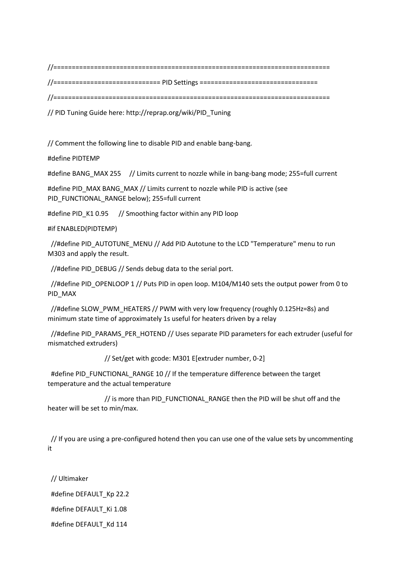//===========================================================================

//============================= PID Settings ================================

```
//===========================================================================
```
// PID Tuning Guide here: http://reprap.org/wiki/PID\_Tuning

// Comment the following line to disable PID and enable bang-bang.

#define PIDTEMP

#define BANG\_MAX 255 // Limits current to nozzle while in bang-bang mode; 255=full current

#define PID\_MAX BANG\_MAX // Limits current to nozzle while PID is active (see PID\_FUNCTIONAL\_RANGE below); 255=full current

#define PID\_K1 0.95 // Smoothing factor within any PID loop

### #if ENABLED(PIDTEMP)

 //#define PID\_AUTOTUNE\_MENU // Add PID Autotune to the LCD "Temperature" menu to run M303 and apply the result.

//#define PID\_DEBUG // Sends debug data to the serial port.

//#define PID\_OPENLOOP 1 // Puts PID in open loop. M104/M140 sets the output power from 0 to PID\_MAX

//#define SLOW\_PWM\_HEATERS // PWM with very low frequency (roughly 0.125Hz=8s) and minimum state time of approximately 1s useful for heaters driven by a relay

 //#define PID\_PARAMS\_PER\_HOTEND // Uses separate PID parameters for each extruder (useful for mismatched extruders)

// Set/get with gcode: M301 E[extruder number, 0-2]

 #define PID\_FUNCTIONAL\_RANGE 10 // If the temperature difference between the target temperature and the actual temperature

// is more than PID\_FUNCTIONAL\_RANGE then the PID will be shut off and the heater will be set to min/max.

 // If you are using a pre-configured hotend then you can use one of the value sets by uncommenting it

 // Ultimaker #define DEFAULT\_Kp 22.2 #define DEFAULT\_Ki 1.08 #define DEFAULT\_Kd 114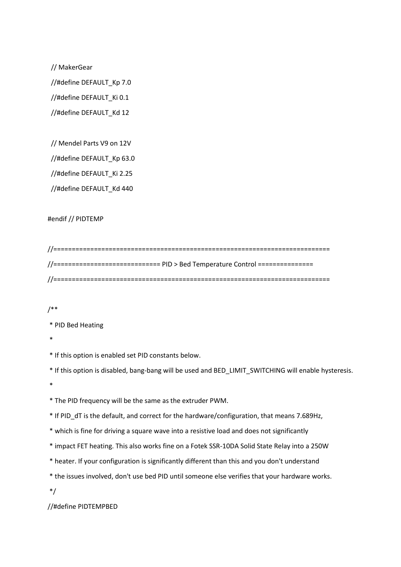// MakerGear

//#define DEFAULT\_Kp 7.0

//#define DEFAULT\_Ki 0.1

//#define DEFAULT\_Kd 12

// Mendel Parts V9 on 12V

//#define DEFAULT\_Kp 63.0

//#define DEFAULT\_Ki 2.25

//#define DEFAULT\_Kd 440

#### #endif // PIDTEMP

| //============================ PID > Bed Temperature Control =============== |
|------------------------------------------------------------------------------|
|                                                                              |

#### /\*\*

\* PID Bed Heating

\*

\* If this option is enabled set PID constants below.

\* If this option is disabled, bang-bang will be used and BED\_LIMIT\_SWITCHING will enable hysteresis.

\*

\* The PID frequency will be the same as the extruder PWM.

\* If PID\_dT is the default, and correct for the hardware/configuration, that means 7.689Hz,

- \* which is fine for driving a square wave into a resistive load and does not significantly
- \* impact FET heating. This also works fine on a Fotek SSR-10DA Solid State Relay into a 250W
- \* heater. If your configuration is significantly different than this and you don't understand
- \* the issues involved, don't use bed PID until someone else verifies that your hardware works.
- \*/

//#define PIDTEMPBED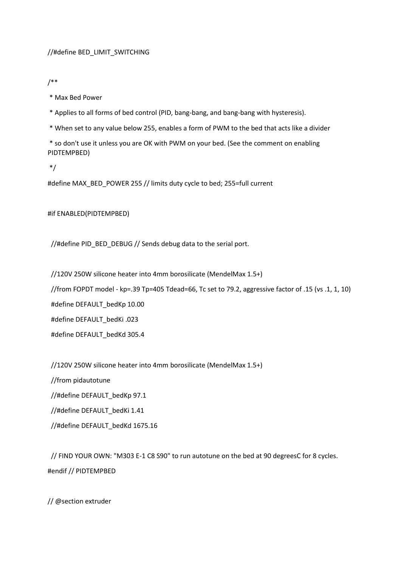### //#define BED\_LIMIT\_SWITCHING

/\*\*

\* Max Bed Power

\* Applies to all forms of bed control (PID, bang-bang, and bang-bang with hysteresis).

\* When set to any value below 255, enables a form of PWM to the bed that acts like a divider

\* so don't use it unless you are OK with PWM on your bed. (See the comment on enabling PIDTEMPBED)

\*/

#define MAX\_BED\_POWER 255 // limits duty cycle to bed; 255=full current

#if ENABLED(PIDTEMPBED)

//#define PID\_BED\_DEBUG // Sends debug data to the serial port.

 //120V 250W silicone heater into 4mm borosilicate (MendelMax 1.5+) //from FOPDT model - kp=.39 Tp=405 Tdead=66, Tc set to 79.2, aggressive factor of .15 (vs .1, 1, 10) #define DEFAULT\_bedKp 10.00 #define DEFAULT\_bedKi .023 #define DEFAULT\_bedKd 305.4

//120V 250W silicone heater into 4mm borosilicate (MendelMax 1.5+)

 //from pidautotune //#define DEFAULT\_bedKp 97.1 //#define DEFAULT\_bedKi 1.41 //#define DEFAULT\_bedKd 1675.16

// FIND YOUR OWN: "M303 E-1 C8 S90" to run autotune on the bed at 90 degreesC for 8 cycles.

// @section extruder

#endif // PIDTEMPBED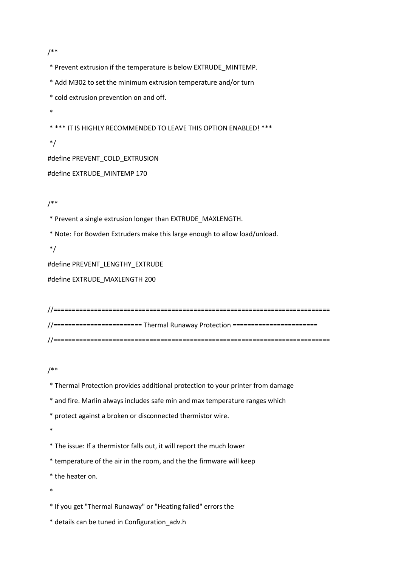/\*\*

\* Prevent extrusion if the temperature is below EXTRUDE\_MINTEMP.

\* Add M302 to set the minimum extrusion temperature and/or turn

\* cold extrusion prevention on and off.

\*

\* \*\*\* IT IS HIGHLY RECOMMENDED TO LEAVE THIS OPTION ENABLED! \*\*\*

\*/

#define PREVENT\_COLD\_EXTRUSION

#define EXTRUDE\_MINTEMP 170

/\*\*

\* Prevent a single extrusion longer than EXTRUDE\_MAXLENGTH.

\* Note: For Bowden Extruders make this large enough to allow load/unload.

\*/

#define PREVENT\_LENGTHY\_EXTRUDE

#define EXTRUDE\_MAXLENGTH 200

//=========================================================================== //======================== Thermal Runaway Protection ======================= //===========================================================================

/\*\*

\* Thermal Protection provides additional protection to your printer from damage

\* and fire. Marlin always includes safe min and max temperature ranges which

\* protect against a broken or disconnected thermistor wire.

\*

\* The issue: If a thermistor falls out, it will report the much lower

\* temperature of the air in the room, and the the firmware will keep

\* the heater on.

\*

\* If you get "Thermal Runaway" or "Heating failed" errors the

\* details can be tuned in Configuration\_adv.h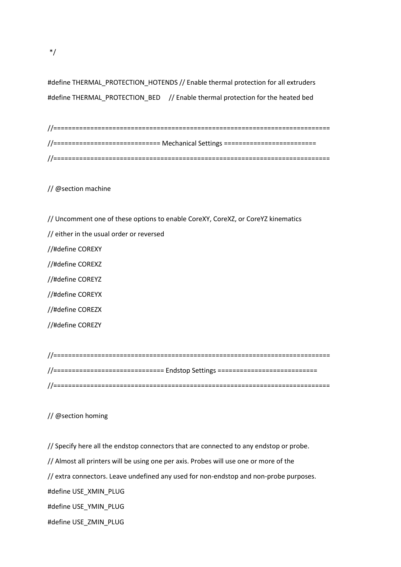#define THERMAL\_PROTECTION\_HOTENDS // Enable thermal protection for all extruders #define THERMAL\_PROTECTION\_BED // Enable thermal protection for the heated bed

| //============================ Mechanical Settings ============================ |
|---------------------------------------------------------------------------------|
|                                                                                 |

// @section machine

- // Uncomment one of these options to enable CoreXY, CoreXZ, or CoreYZ kinematics
- // either in the usual order or reversed

//#define COREXY

//#define COREXZ

//#define COREYZ

//#define COREYX

//#define COREZX

//#define COREZY

| //=============================== Endstop Settings ============================= |  |
|----------------------------------------------------------------------------------|--|
|                                                                                  |  |

## // @section homing

// Specify here all the endstop connectors that are connected to any endstop or probe. // Almost all printers will be using one per axis. Probes will use one or more of the // extra connectors. Leave undefined any used for non-endstop and non-probe purposes. #define USE\_XMIN\_PLUG #define USE\_YMIN\_PLUG

\*/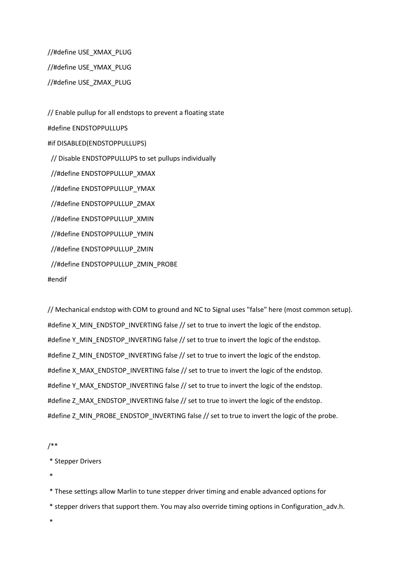//#define USE\_XMAX\_PLUG //#define USE\_YMAX\_PLUG

//#define USE\_ZMAX\_PLUG

// Enable pullup for all endstops to prevent a floating state #define ENDSTOPPULLUPS #if DISABLED(ENDSTOPPULLUPS) // Disable ENDSTOPPULLUPS to set pullups individually //#define ENDSTOPPULLUP\_XMAX //#define ENDSTOPPULLUP\_YMAX //#define ENDSTOPPULLUP\_ZMAX //#define ENDSTOPPULLUP\_XMIN //#define ENDSTOPPULLUP\_YMIN //#define ENDSTOPPULLUP\_ZMIN //#define ENDSTOPPULLUP\_ZMIN\_PROBE #endif

// Mechanical endstop with COM to ground and NC to Signal uses "false" here (most common setup). #define X\_MIN\_ENDSTOP\_INVERTING false // set to true to invert the logic of the endstop. #define Y\_MIN\_ENDSTOP\_INVERTING false // set to true to invert the logic of the endstop. #define Z\_MIN\_ENDSTOP\_INVERTING false // set to true to invert the logic of the endstop. #define X\_MAX\_ENDSTOP\_INVERTING false // set to true to invert the logic of the endstop. #define Y\_MAX\_ENDSTOP\_INVERTING false // set to true to invert the logic of the endstop. #define Z\_MAX\_ENDSTOP\_INVERTING false // set to true to invert the logic of the endstop. #define Z\_MIN\_PROBE\_ENDSTOP\_INVERTING false // set to true to invert the logic of the probe.

/\*\*

\* Stepper Drivers

\*

\* These settings allow Marlin to tune stepper driver timing and enable advanced options for

\* stepper drivers that support them. You may also override timing options in Configuration\_adv.h.

\*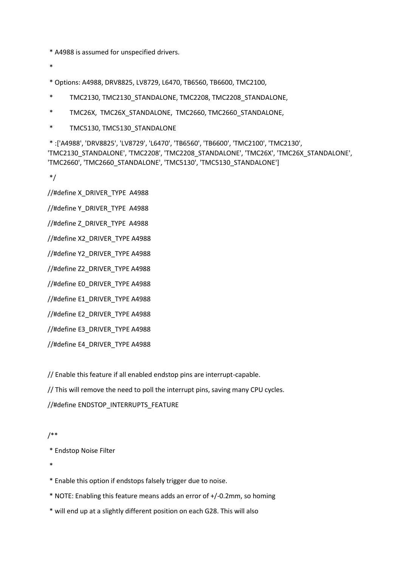\* A4988 is assumed for unspecified drivers.

\*

\* Options: A4988, DRV8825, LV8729, L6470, TB6560, TB6600, TMC2100,

- \* TMC2130, TMC2130\_STANDALONE, TMC2208, TMC2208\_STANDALONE,
- \* TMC26X, TMC26X\_STANDALONE, TMC2660, TMC2660\_STANDALONE,
- \* TMC5130, TMC5130\_STANDALONE
- \* :['A4988', 'DRV8825', 'LV8729', 'L6470', 'TB6560', 'TB6600', 'TMC2100', 'TMC2130', 'TMC2130\_STANDALONE', 'TMC2208', 'TMC2208\_STANDALONE', 'TMC26X', 'TMC26X\_STANDALONE', 'TMC2660', 'TMC2660\_STANDALONE', 'TMC5130', 'TMC5130\_STANDALONE']

\*/

//#define X\_DRIVER\_TYPE\_A4988

//#define Y\_DRIVER\_TYPE\_A4988

//#define Z\_DRIVER\_TYPE A4988

//#define X2\_DRIVER\_TYPE A4988

//#define Y2\_DRIVER\_TYPE A4988

//#define Z2\_DRIVER\_TYPE A4988

//#define E0\_DRIVER\_TYPE A4988

//#define E1\_DRIVER\_TYPE A4988

//#define E2\_DRIVER\_TYPE A4988

//#define E3\_DRIVER\_TYPE A4988

//#define E4\_DRIVER\_TYPE A4988

// Enable this feature if all enabled endstop pins are interrupt-capable.

// This will remove the need to poll the interrupt pins, saving many CPU cycles.

//#define ENDSTOP\_INTERRUPTS\_FEATURE

#### /\*\*

\* Endstop Noise Filter

\*

- \* Enable this option if endstops falsely trigger due to noise.
- \* NOTE: Enabling this feature means adds an error of +/-0.2mm, so homing
- \* will end up at a slightly different position on each G28. This will also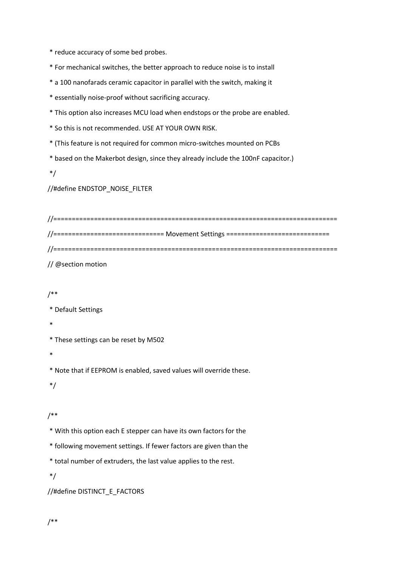\* reduce accuracy of some bed probes.

\* For mechanical switches, the better approach to reduce noise is to install

\* a 100 nanofarads ceramic capacitor in parallel with the switch, making it

\* essentially noise-proof without sacrificing accuracy.

\* This option also increases MCU load when endstops or the probe are enabled.

\* So this is not recommended. USE AT YOUR OWN RISK.

\* (This feature is not required for common micro-switches mounted on PCBs

\* based on the Makerbot design, since they already include the 100nF capacitor.)

\*/

//#define ENDSTOP\_NOISE\_FILTER

| //============================== Movement Settings ============================= |
|----------------------------------------------------------------------------------|
|                                                                                  |

// @section motion

## /\*\*

\* Default Settings

\*

\* These settings can be reset by M502

\*

\* Note that if EEPROM is enabled, saved values will override these.

\*/

## /\*\*

\* With this option each E stepper can have its own factors for the

\* following movement settings. If fewer factors are given than the

\* total number of extruders, the last value applies to the rest.

\*/

//#define DISTINCT\_E\_FACTORS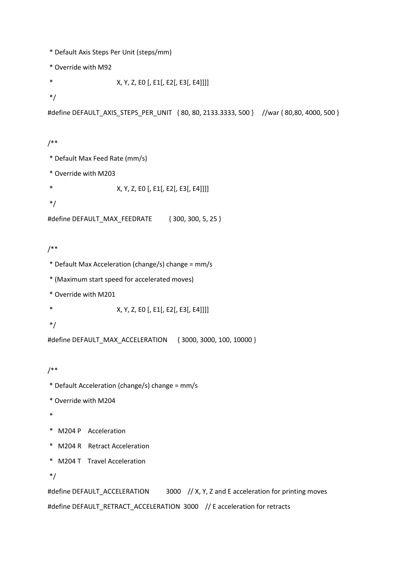```
* Default Axis Steps Per Unit (steps/mm)
```
\* Override with M92

\* X, Y, Z, E0 [, E1[, E2[, E3[, E4]]]]

\*/

```
#define DEFAULT_AXIS_STEPS_PER_UNIT { 80, 80, 2133.3333, 500 } //war { 80,80, 4000, 500 }
```
/\*\*

- \* Default Max Feed Rate (mm/s)
- \* Override with M203
- \* X, Y, Z, E0 [, E1[, E2[, E3[, E4]]]]

\*/

```
#define DEFAULT_MAX_FEEDRATE { 300, 300, 5, 25 }
```
## /\*\*

```
* Default Max Acceleration (change/s) change = mm/s
```
\* (Maximum start speed for accelerated moves)

\* Override with M201

\* X, Y, Z, E0 [, E1[, E2[, E3[, E4]]]]

\*/

#define DEFAULT\_MAX\_ACCELERATION { 3000, 3000, 100, 10000 }

/\*\*

- \* Default Acceleration (change/s) change = mm/s
- \* Override with M204
- \*
- \* M204 P Acceleration
- \* M204 R Retract Acceleration
- \* M204 T Travel Acceleration

\*/

#define DEFAULT\_ACCELERATION 3000 // X, Y, Z and E acceleration for printing moves #define DEFAULT\_RETRACT\_ACCELERATION 3000 // E acceleration for retracts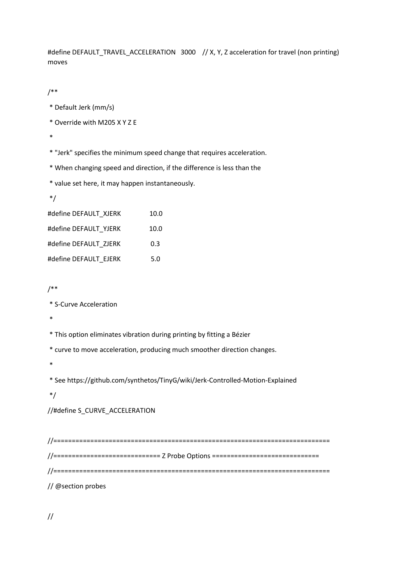#define DEFAULT\_TRAVEL\_ACCELERATION 3000 // X, Y, Z acceleration for travel (non printing) moves

/\*\*

- \* Default Jerk (mm/s)
- \* Override with M205 X Y Z E

\*

\* "Jerk" specifies the minimum speed change that requires acceleration.

\* When changing speed and direction, if the difference is less than the

\* value set here, it may happen instantaneously.

```
*/
```

| #define DEFAULT XJERK | 10.0 |
|-----------------------|------|
| #define DEFAULT YJERK | 10.0 |
| #define DEFAULT ZJERK | 0.3  |
| #define DEFAULT EJERK | 5.0  |

/\*\*

\* S-Curve Acceleration

\*

\* This option eliminates vibration during printing by fitting a Bézier

\* curve to move acceleration, producing much smoother direction changes.

\*

\* See https://github.com/synthetos/TinyG/wiki/Jerk-Controlled-Motion-Explained

\*/

//#define S\_CURVE\_ACCELERATION

//=========================================================================== //============================= Z Probe Options ============================= //=========================================================================== // @section probes

//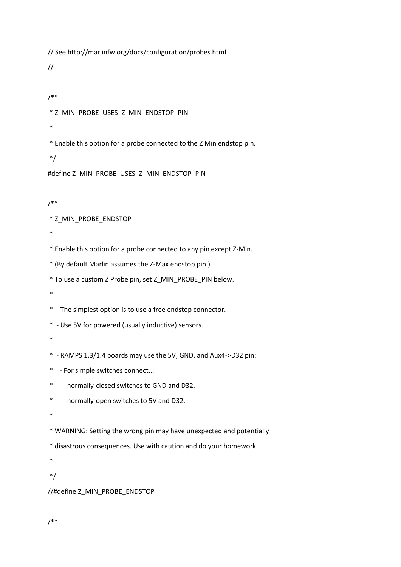// See http://marlinfw.org/docs/configuration/probes.html

//

```
/**
```
\* Z\_MIN\_PROBE\_USES\_Z\_MIN\_ENDSTOP\_PIN

\*

\* Enable this option for a probe connected to the Z Min endstop pin.

\*/

#define Z\_MIN\_PROBE\_USES\_Z\_MIN\_ENDSTOP\_PIN

/\*\*

\* Z\_MIN\_PROBE\_ENDSTOP

\*

\* Enable this option for a probe connected to any pin except Z-Min.

\* (By default Marlin assumes the Z-Max endstop pin.)

\* To use a custom Z Probe pin, set Z\_MIN\_PROBE\_PIN below.

\*

\* - The simplest option is to use a free endstop connector.

\* - Use 5V for powered (usually inductive) sensors.

\*

\* - RAMPS 1.3/1.4 boards may use the 5V, GND, and Aux4->D32 pin:

\* - For simple switches connect...

\* - normally-closed switches to GND and D32.

\* - normally-open switches to 5V and D32.

\*

\* WARNING: Setting the wrong pin may have unexpected and potentially

\* disastrous consequences. Use with caution and do your homework.

\*

\*/

//#define Z\_MIN\_PROBE\_ENDSTOP

/\*\*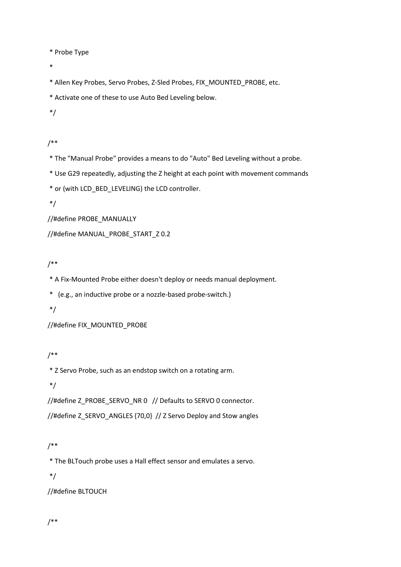\* Probe Type

\*

\* Allen Key Probes, Servo Probes, Z-Sled Probes, FIX\_MOUNTED\_PROBE, etc.

\* Activate one of these to use Auto Bed Leveling below.

\*/

/\*\*

\* The "Manual Probe" provides a means to do "Auto" Bed Leveling without a probe.

\* Use G29 repeatedly, adjusting the Z height at each point with movement commands

\* or (with LCD\_BED\_LEVELING) the LCD controller.

\*/

//#define PROBE\_MANUALLY

//#define MANUAL\_PROBE\_START\_Z 0.2

## /\*\*

\* A Fix-Mounted Probe either doesn't deploy or needs manual deployment.

\* (e.g., an inductive probe or a nozzle-based probe-switch.)

\*/

//#define FIX\_MOUNTED\_PROBE

## /\*\*

\* Z Servo Probe, such as an endstop switch on a rotating arm.

\*/

//#define Z\_PROBE\_SERVO\_NR 0 // Defaults to SERVO 0 connector.

//#define Z\_SERVO\_ANGLES {70,0} // Z Servo Deploy and Stow angles

## /\*\*

\* The BLTouch probe uses a Hall effect sensor and emulates a servo.

\*/

//#define BLTOUCH

/\*\*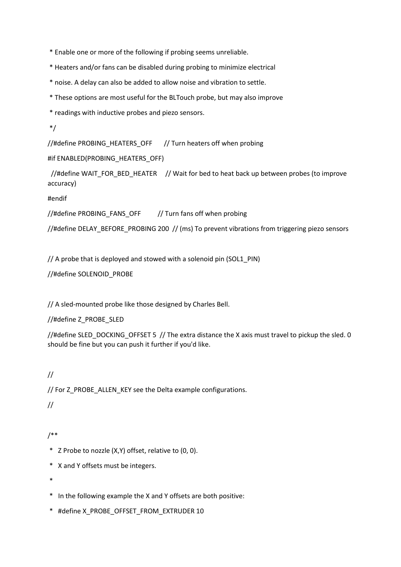\* Enable one or more of the following if probing seems unreliable.

\* Heaters and/or fans can be disabled during probing to minimize electrical

\* noise. A delay can also be added to allow noise and vibration to settle.

\* These options are most useful for the BLTouch probe, but may also improve

\* readings with inductive probes and piezo sensors.

\*/

//#define PROBING\_HEATERS\_OFF // Turn heaters off when probing

#if ENABLED(PROBING\_HEATERS\_OFF)

//#define WAIT\_FOR\_BED\_HEATER // Wait for bed to heat back up between probes (to improve accuracy)

#endif

//#define PROBING\_FANS\_OFF // Turn fans off when probing

//#define DELAY\_BEFORE\_PROBING 200 // (ms) To prevent vibrations from triggering piezo sensors

// A probe that is deployed and stowed with a solenoid pin (SOL1\_PIN)

//#define SOLENOID\_PROBE

// A sled-mounted probe like those designed by Charles Bell.

//#define Z\_PROBE\_SLED

//#define SLED\_DOCKING\_OFFSET 5 // The extra distance the X axis must travel to pickup the sled. 0 should be fine but you can push it further if you'd like.

## //

// For Z\_PROBE\_ALLEN\_KEY see the Delta example configurations.

//

## /\*\*

- \* Z Probe to nozzle (X,Y) offset, relative to (0, 0).
- \* X and Y offsets must be integers.

\*

- \* In the following example the X and Y offsets are both positive:
- \* #define X\_PROBE\_OFFSET\_FROM\_EXTRUDER 10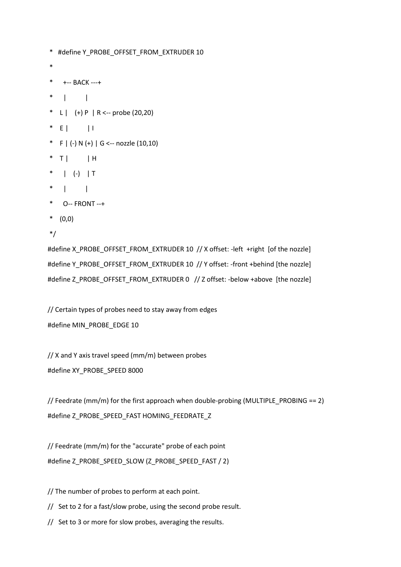```
* #define Y_PROBE_OFFSET_FROM_EXTRUDER 10
*
* +-- BACK ---+
* | |
* L | (+) P | R <-- probe (20, 20)* E | | | |
* F | (-) N (+) | G \leftarrow nozzle (10,10)
* T | | H
* | (-) | T
* | |
* O-- FRONT --+
* (0,0)
*/
```
#define X\_PROBE\_OFFSET\_FROM\_EXTRUDER 10 // X offset: -left +right [of the nozzle] #define Y\_PROBE\_OFFSET\_FROM\_EXTRUDER 10 // Y offset: -front +behind [the nozzle] #define Z\_PROBE\_OFFSET\_FROM\_EXTRUDER 0 // Z offset: -below +above [the nozzle]

// Certain types of probes need to stay away from edges #define MIN\_PROBE\_EDGE 10

// X and Y axis travel speed (mm/m) between probes #define XY\_PROBE\_SPEED 8000

// Feedrate (mm/m) for the first approach when double-probing (MULTIPLE\_PROBING == 2) #define Z\_PROBE\_SPEED\_FAST HOMING\_FEEDRATE\_Z

// Feedrate (mm/m) for the "accurate" probe of each point #define Z\_PROBE\_SPEED\_SLOW (Z\_PROBE\_SPEED\_FAST / 2)

// The number of probes to perform at each point.

// Set to 2 for a fast/slow probe, using the second probe result.

// Set to 3 or more for slow probes, averaging the results.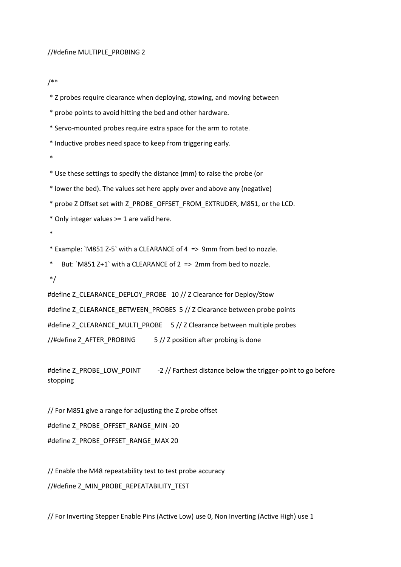#### //#define MULTIPLE\_PROBING 2

/\*\*

\* Z probes require clearance when deploying, stowing, and moving between

\* probe points to avoid hitting the bed and other hardware.

\* Servo-mounted probes require extra space for the arm to rotate.

\* Inductive probes need space to keep from triggering early.

\*

\* Use these settings to specify the distance (mm) to raise the probe (or

\* lower the bed). The values set here apply over and above any (negative)

\* probe Z Offset set with Z\_PROBE\_OFFSET\_FROM\_EXTRUDER, M851, or the LCD.

\* Only integer values >= 1 are valid here.

\*

\* Example: `M851 Z-5` with a CLEARANCE of 4 => 9mm from bed to nozzle.

\* But: `M851 Z+1` with a CLEARANCE of 2 => 2mm from bed to nozzle.

\*/

#define Z\_CLEARANCE\_DEPLOY\_PROBE 10 // Z Clearance for Deploy/Stow #define Z\_CLEARANCE\_BETWEEN\_PROBES 5 // Z Clearance between probe points #define Z\_CLEARANCE\_MULTI\_PROBE 5 // Z Clearance between multiple probes //#define Z AFTER PROBING  $\frac{5}{7}$  Z position after probing is done

#define Z\_PROBE\_LOW\_POINT -2 // Farthest distance below the trigger-point to go before stopping

// For M851 give a range for adjusting the Z probe offset #define Z\_PROBE\_OFFSET\_RANGE\_MIN -20 #define Z\_PROBE\_OFFSET\_RANGE\_MAX 20

// Enable the M48 repeatability test to test probe accuracy //#define Z\_MIN\_PROBE\_REPEATABILITY\_TEST

// For Inverting Stepper Enable Pins (Active Low) use 0, Non Inverting (Active High) use 1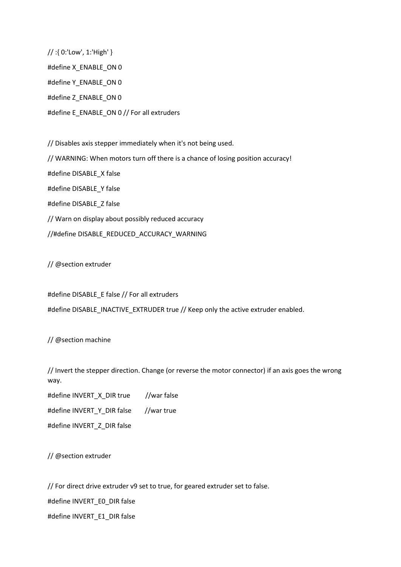// :{ 0:'Low', 1:'High' } #define X\_ENABLE\_ON 0 #define Y\_ENABLE\_ON 0 #define Z\_ENABLE\_ON 0 #define E\_ENABLE\_ON 0 // For all extruders

// Disables axis stepper immediately when it's not being used. // WARNING: When motors turn off there is a chance of losing position accuracy! #define DISABLE\_X false #define DISABLE\_Y false #define DISABLE\_Z false // Warn on display about possibly reduced accuracy //#define DISABLE\_REDUCED\_ACCURACY\_WARNING

// @section extruder

#define DISABLE\_E false // For all extruders #define DISABLE\_INACTIVE\_EXTRUDER true // Keep only the active extruder enabled.

// @section machine

// Invert the stepper direction. Change (or reverse the motor connector) if an axis goes the wrong way.

#define INVERT\_X\_DIR true //war false

#define INVERT\_Y\_DIR false //war true

#define INVERT\_Z\_DIR false

// @section extruder

// For direct drive extruder v9 set to true, for geared extruder set to false.

#define INVERT\_E0\_DIR false

#define INVERT\_E1\_DIR false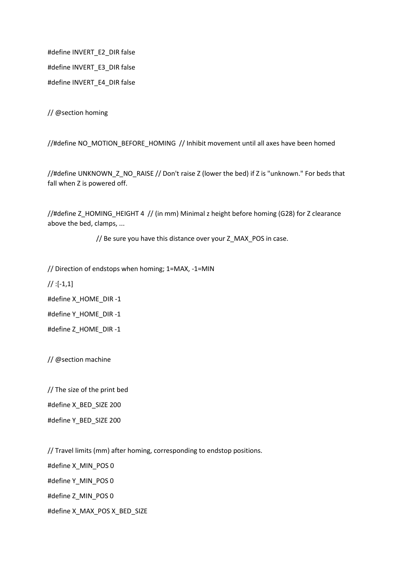#define INVERT\_E2\_DIR false #define INVERT\_E3\_DIR false #define INVERT\_E4\_DIR false

// @section homing

//#define NO\_MOTION\_BEFORE\_HOMING // Inhibit movement until all axes have been homed

//#define UNKNOWN\_Z\_NO\_RAISE // Don't raise Z (lower the bed) if Z is "unknown." For beds that fall when Z is powered off.

//#define Z\_HOMING\_HEIGHT 4 // (in mm) Minimal z height before homing (G28) for Z clearance above the bed, clamps, ...

// Be sure you have this distance over your Z\_MAX\_POS in case.

// Direction of endstops when homing; 1=MAX, -1=MIN

 $//$  :[-1,1]

#define X\_HOME\_DIR -1

#define Y\_HOME\_DIR -1

#define Z\_HOME\_DIR -1

// @section machine

// The size of the print bed

#define X\_BED\_SIZE 200

#define Y\_BED\_SIZE 200

// Travel limits (mm) after homing, corresponding to endstop positions.

#define X\_MIN\_POS 0 #define Y\_MIN\_POS 0 #define Z\_MIN\_POS 0 #define X\_MAX\_POS X\_BED\_SIZE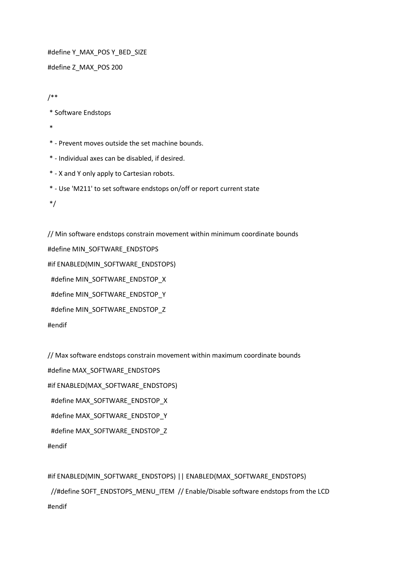#define Y\_MAX\_POS Y\_BED\_SIZE

#define Z\_MAX\_POS 200

/\*\*

\* Software Endstops

\*

\* - Prevent moves outside the set machine bounds.

\* - Individual axes can be disabled, if desired.

\* - X and Y only apply to Cartesian robots.

\* - Use 'M211' to set software endstops on/off or report current state

\*/

#endif

// Min software endstops constrain movement within minimum coordinate bounds #define MIN\_SOFTWARE\_ENDSTOPS #if ENABLED(MIN\_SOFTWARE\_ENDSTOPS) #define MIN\_SOFTWARE\_ENDSTOP\_X #define MIN\_SOFTWARE\_ENDSTOP\_Y #define MIN\_SOFTWARE\_ENDSTOP\_Z #endif

// Max software endstops constrain movement within maximum coordinate bounds #define MAX\_SOFTWARE\_ENDSTOPS #if ENABLED(MAX\_SOFTWARE\_ENDSTOPS) #define MAX\_SOFTWARE\_ENDSTOP\_X #define MAX\_SOFTWARE\_ENDSTOP\_Y #define MAX\_SOFTWARE\_ENDSTOP\_Z

#if ENABLED(MIN\_SOFTWARE\_ENDSTOPS) || ENABLED(MAX\_SOFTWARE\_ENDSTOPS) //#define SOFT\_ENDSTOPS\_MENU\_ITEM // Enable/Disable software endstops from the LCD #endif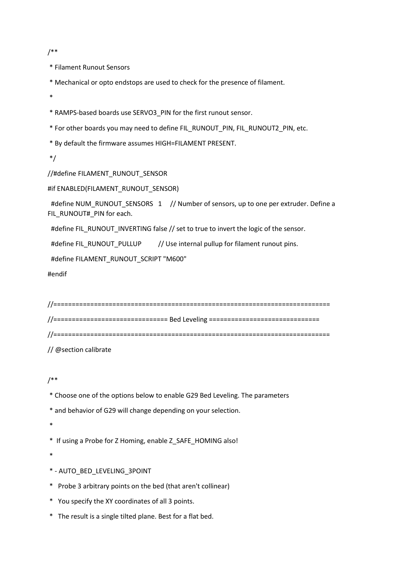/\*\*

\* Filament Runout Sensors

\* Mechanical or opto endstops are used to check for the presence of filament.

\*

\* RAMPS-based boards use SERVO3\_PIN for the first runout sensor.

\* For other boards you may need to define FIL\_RUNOUT\_PIN, FIL\_RUNOUT2\_PIN, etc.

\* By default the firmware assumes HIGH=FILAMENT PRESENT.

\*/

//#define FILAMENT\_RUNOUT\_SENSOR

#if ENABLED(FILAMENT\_RUNOUT\_SENSOR)

#define NUM\_RUNOUT\_SENSORS 1 // Number of sensors, up to one per extruder. Define a FIL\_RUNOUT#\_PIN for each.

#define FIL\_RUNOUT\_INVERTING false // set to true to invert the logic of the sensor.

#define FIL\_RUNOUT\_PULLUP // Use internal pullup for filament runout pins.

#define FILAMENT\_RUNOUT\_SCRIPT "M600"

#endif

//=========================================================================== //=============================== Bed Leveling ============================== //===========================================================================

// @section calibrate

/\*\*

\* Choose one of the options below to enable G29 Bed Leveling. The parameters

\* and behavior of G29 will change depending on your selection.

\*

\* If using a Probe for Z Homing, enable Z\_SAFE\_HOMING also!

\*

\* - AUTO\_BED\_LEVELING\_3POINT

\* Probe 3 arbitrary points on the bed (that aren't collinear)

\* You specify the XY coordinates of all 3 points.

\* The result is a single tilted plane. Best for a flat bed.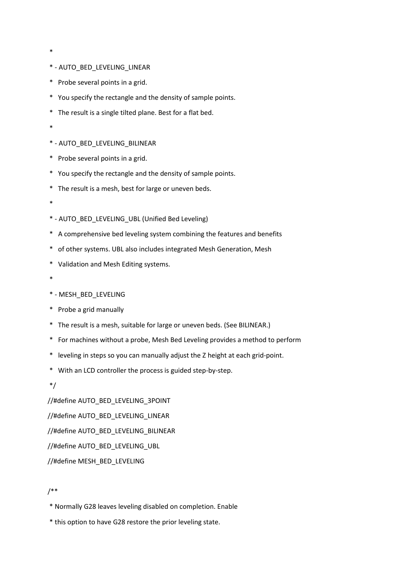- \*
- \* AUTO\_BED\_LEVELING\_LINEAR
- \* Probe several points in a grid.
- \* You specify the rectangle and the density of sample points.
- \* The result is a single tilted plane. Best for a flat bed.
- \*
- \* AUTO\_BED\_LEVELING\_BILINEAR
- \* Probe several points in a grid.
- \* You specify the rectangle and the density of sample points.
- \* The result is a mesh, best for large or uneven beds.
- \*
- \* AUTO\_BED\_LEVELING\_UBL (Unified Bed Leveling)
- \* A comprehensive bed leveling system combining the features and benefits
- \* of other systems. UBL also includes integrated Mesh Generation, Mesh
- \* Validation and Mesh Editing systems.
- \*
- \* MESH\_BED\_LEVELING
- \* Probe a grid manually
- \* The result is a mesh, suitable for large or uneven beds. (See BILINEAR.)
- \* For machines without a probe, Mesh Bed Leveling provides a method to perform
- \* leveling in steps so you can manually adjust the Z height at each grid-point.
- \* With an LCD controller the process is guided step-by-step.

\*/

//#define AUTO\_BED\_LEVELING\_3POINT

//#define AUTO\_BED\_LEVELING\_LINEAR

//#define AUTO\_BED\_LEVELING\_BILINEAR

//#define AUTO\_BED\_LEVELING\_UBL

//#define MESH\_BED\_LEVELING

### /\*\*

- \* Normally G28 leaves leveling disabled on completion. Enable
- \* this option to have G28 restore the prior leveling state.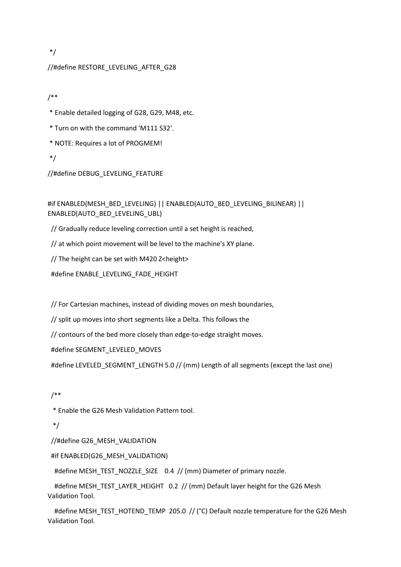\*/

### //#define RESTORE\_LEVELING\_AFTER\_G28

/\*\*

\* Enable detailed logging of G28, G29, M48, etc.

\* Turn on with the command 'M111 S32'.

\* NOTE: Requires a lot of PROGMEM!

\*/

//#define DEBUG\_LEVELING\_FEATURE

## #if ENABLED(MESH\_BED\_LEVELING) || ENABLED(AUTO\_BED\_LEVELING\_BILINEAR) || ENABLED(AUTO\_BED\_LEVELING\_UBL)

// Gradually reduce leveling correction until a set height is reached,

// at which point movement will be level to the machine's XY plane.

// The height can be set with M420 Z<height>

#define ENABLE\_LEVELING\_FADE\_HEIGHT

// For Cartesian machines, instead of dividing moves on mesh boundaries,

// split up moves into short segments like a Delta. This follows the

// contours of the bed more closely than edge-to-edge straight moves.

#define SEGMENT\_LEVELED\_MOVES

#define LEVELED\_SEGMENT\_LENGTH 5.0 // (mm) Length of all segments (except the last one)

## /\*\*

\* Enable the G26 Mesh Validation Pattern tool.

\*/

//#define G26\_MESH\_VALIDATION

#if ENABLED(G26\_MESH\_VALIDATION)

#define MESH\_TEST\_NOZZLE\_SIZE \_0.4 // (mm) Diameter of primary nozzle.

#define MESH\_TEST\_LAYER\_HEIGHT\_0.2 // (mm) Default layer height for the G26 Mesh Validation Tool.

#define MESH\_TEST\_HOTEND\_TEMP 205.0 // (°C) Default nozzle temperature for the G26 Mesh Validation Tool.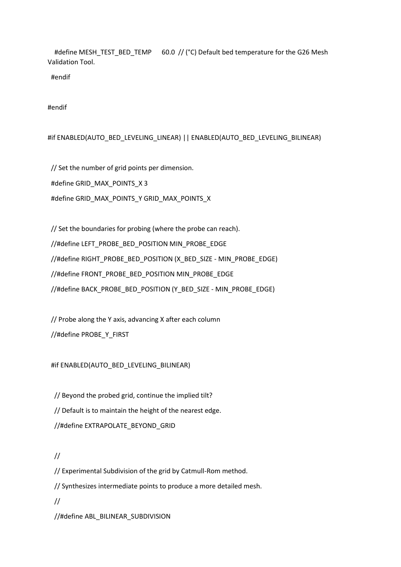#define MESH\_TEST\_BED\_TEMP 60.0 // (°C) Default bed temperature for the G26 Mesh Validation Tool.

#endif

#endif

### #if ENABLED(AUTO\_BED\_LEVELING\_LINEAR) || ENABLED(AUTO\_BED\_LEVELING\_BILINEAR)

 // Set the number of grid points per dimension. #define GRID\_MAX\_POINTS\_X 3 #define GRID\_MAX\_POINTS\_Y GRID\_MAX\_POINTS\_X

 // Set the boundaries for probing (where the probe can reach). //#define LEFT\_PROBE\_BED\_POSITION MIN\_PROBE\_EDGE //#define RIGHT\_PROBE\_BED\_POSITION (X\_BED\_SIZE - MIN\_PROBE\_EDGE) //#define FRONT\_PROBE\_BED\_POSITION MIN\_PROBE\_EDGE //#define BACK\_PROBE\_BED\_POSITION (Y\_BED\_SIZE - MIN\_PROBE\_EDGE)

 // Probe along the Y axis, advancing X after each column //#define PROBE\_Y\_FIRST

#if ENABLED(AUTO\_BED\_LEVELING\_BILINEAR)

 // Beyond the probed grid, continue the implied tilt? // Default is to maintain the height of the nearest edge. //#define EXTRAPOLATE\_BEYOND\_GRID

//

 // Experimental Subdivision of the grid by Catmull-Rom method. // Synthesizes intermediate points to produce a more detailed mesh. // //#define ABL\_BILINEAR\_SUBDIVISION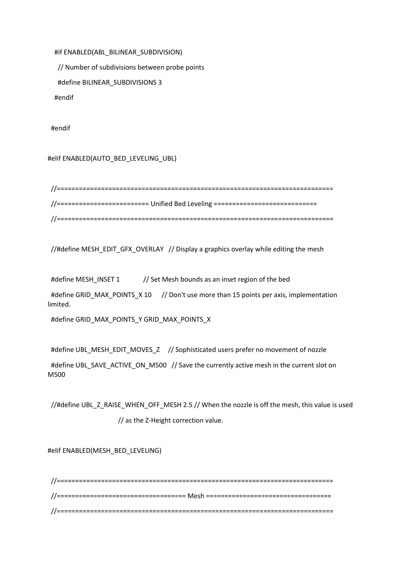#if ENABLED(ABL\_BILINEAR\_SUBDIVISION)

// Number of subdivisions between probe points

#define BILINEAR\_SUBDIVISIONS 3

#endif

#endif

#### #elif ENABLED(AUTO\_BED\_LEVELING\_UBL)

 //=========================================================================== //========================= Unified Bed Leveling ============================ //===========================================================================

//#define MESH\_EDIT\_GFX\_OVERLAY // Display a graphics overlay while editing the mesh

#define MESH\_INSET 1 // Set Mesh bounds as an inset region of the bed #define GRID\_MAX\_POINTS\_X 10 // Don't use more than 15 points per axis, implementation limited.

#define GRID\_MAX\_POINTS\_Y GRID\_MAX\_POINTS\_X

#define UBL\_MESH\_EDIT\_MOVES\_Z // Sophisticated users prefer no movement of nozzle #define UBL\_SAVE\_ACTIVE\_ON\_M500 // Save the currently active mesh in the current slot on M500

 //#define UBL\_Z\_RAISE\_WHEN\_OFF\_MESH 2.5 // When the nozzle is off the mesh, this value is used // as the Z-Height correction value.

#elif ENABLED(MESH\_BED\_LEVELING)

 //=========================================================================== //=================================== Mesh ================================== //===========================================================================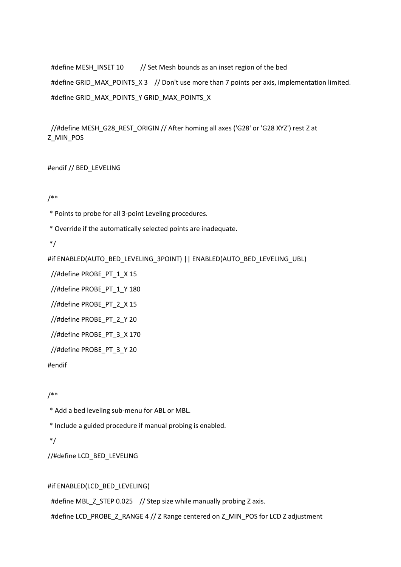#define MESH\_INSET 10 // Set Mesh bounds as an inset region of the bed #define GRID\_MAX\_POINTS\_X 3 // Don't use more than 7 points per axis, implementation limited. #define GRID\_MAX\_POINTS\_Y GRID\_MAX\_POINTS\_X

 //#define MESH\_G28\_REST\_ORIGIN // After homing all axes ('G28' or 'G28 XYZ') rest Z at Z\_MIN\_POS

#endif // BED\_LEVELING

/\*\*

\* Points to probe for all 3-point Leveling procedures.

\* Override if the automatically selected points are inadequate.

\*/

#if ENABLED(AUTO\_BED\_LEVELING\_3POINT) || ENABLED(AUTO\_BED\_LEVELING\_UBL)

//#define PROBE\_PT\_1\_X 15

//#define PROBE\_PT\_1\_Y 180

//#define PROBE\_PT\_2\_X 15

//#define PROBE\_PT\_2\_Y 20

//#define PROBE\_PT\_3\_X 170

//#define PROBE\_PT\_3\_Y 20

#endif

/\*\*

\* Add a bed leveling sub-menu for ABL or MBL.

\* Include a guided procedure if manual probing is enabled.

\*/

//#define LCD\_BED\_LEVELING

### #if ENABLED(LCD\_BED\_LEVELING)

#define MBL\_Z\_STEP 0.025 // Step size while manually probing Z axis.

#define LCD\_PROBE\_Z\_RANGE 4 // Z Range centered on Z\_MIN\_POS for LCD Z adjustment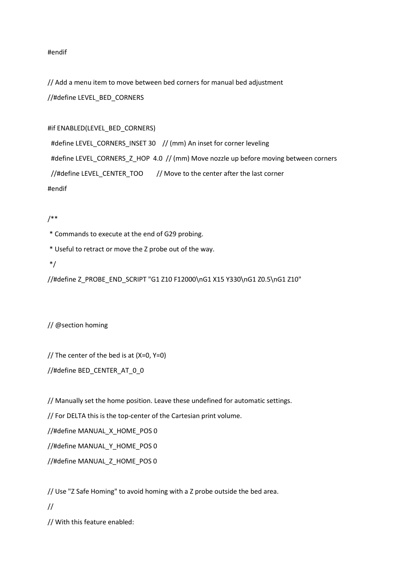#endif

// Add a menu item to move between bed corners for manual bed adjustment //#define LEVEL\_BED\_CORNERS

#### #if ENABLED(LEVEL\_BED\_CORNERS)

#define LEVEL\_CORNERS\_INSET 30 // (mm) An inset for corner leveling #define LEVEL\_CORNERS\_Z\_HOP\_4.0 // (mm) Move nozzle up before moving between corners //#define LEVEL CENTER\_TOO // Move to the center after the last corner #endif

#### /\*\*

\* Commands to execute at the end of G29 probing.

\* Useful to retract or move the Z probe out of the way.

\*/

//#define Z\_PROBE\_END\_SCRIPT "G1 Z10 F12000\nG1 X15 Y330\nG1 Z0.5\nG1 Z10"

// @section homing

// The center of the bed is at (X=0, Y=0)

//#define BED\_CENTER\_AT\_0\_0

// Manually set the home position. Leave these undefined for automatic settings.

// For DELTA this is the top-center of the Cartesian print volume.

//#define MANUAL\_X\_HOME\_POS 0

//#define MANUAL\_Y\_HOME\_POS 0

//#define MANUAL\_Z\_HOME\_POS 0

// Use "Z Safe Homing" to avoid homing with a Z probe outside the bed area. //

// With this feature enabled: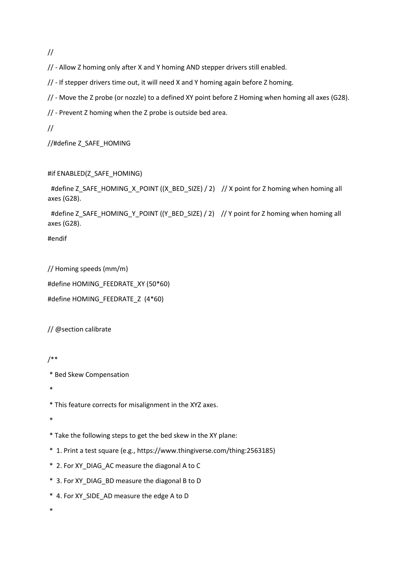//

// - Allow Z homing only after X and Y homing AND stepper drivers still enabled.

// - If stepper drivers time out, it will need X and Y homing again before Z homing.

// - Move the Z probe (or nozzle) to a defined XY point before Z Homing when homing all axes (G28).

// - Prevent Z homing when the Z probe is outside bed area.

//

//#define Z\_SAFE\_HOMING

### #if ENABLED(Z\_SAFE\_HOMING)

#define Z\_SAFE\_HOMING\_X\_POINT ((X\_BED\_SIZE) / 2) // X point for Z homing when homing all axes (G28).

#define Z\_SAFE\_HOMING\_Y\_POINT ((Y\_BED\_SIZE) / 2) // Y point for Z homing when homing all axes (G28).

#endif

// Homing speeds (mm/m) #define HOMING\_FEEDRATE\_XY (50\*60) #define HOMING\_FEEDRATE\_Z (4\*60)

// @section calibrate

/\*\*

\* Bed Skew Compensation

\*

\* This feature corrects for misalignment in the XYZ axes.

\*

\* Take the following steps to get the bed skew in the XY plane:

\* 1. Print a test square (e.g., https://www.thingiverse.com/thing:2563185)

\* 2. For XY\_DIAG\_AC measure the diagonal A to C

\* 3. For XY\_DIAG\_BD measure the diagonal B to D

\* 4. For XY\_SIDE\_AD measure the edge A to D

\*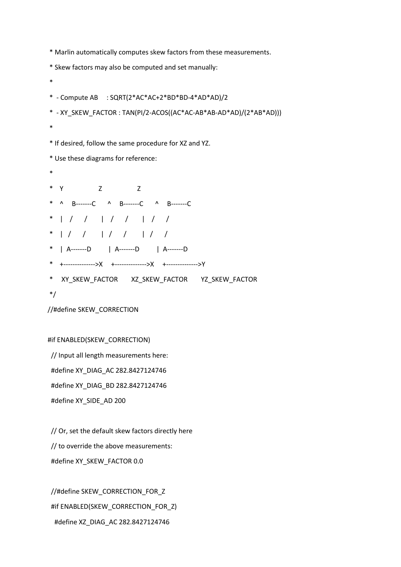\* Marlin automatically computes skew factors from these measurements.

\* Skew factors may also be computed and set manually:

```
*
* - Compute AB : SQRT(2*AC*AC+2*BD*BD-4*AD*AD)/2
* - XY_SKEW_FACTOR : TAN(PI/2-ACOS((AC*AC-AB*AB-AD*AD)/(2*AB*AD)))
*
* If desired, follow the same procedure for XZ and YZ.
* Use these diagrams for reference:
*
* Y Z Z
* ^ B-------C ^ B-------C ^ B-------C
* | / / | / / | / /
* | / / | / / | / /
* | A-------D | A-------D | A-------D
* +-------------->X +-------------->X +-------------->Y
* XY_SKEW_FACTOR XZ_SKEW_FACTOR YZ_SKEW_FACTOR
*/
//#define SKEW_CORRECTION
```
#if ENABLED(SKEW\_CORRECTION)

 // Input all length measurements here: #define XY\_DIAG\_AC 282.8427124746 #define XY\_DIAG\_BD 282.8427124746 #define XY\_SIDE\_AD 200

 // Or, set the default skew factors directly here // to override the above measurements: #define XY\_SKEW\_FACTOR 0.0

//#define SKEW\_CORRECTION\_FOR\_Z #if ENABLED(SKEW\_CORRECTION\_FOR\_Z) #define XZ\_DIAG\_AC 282.8427124746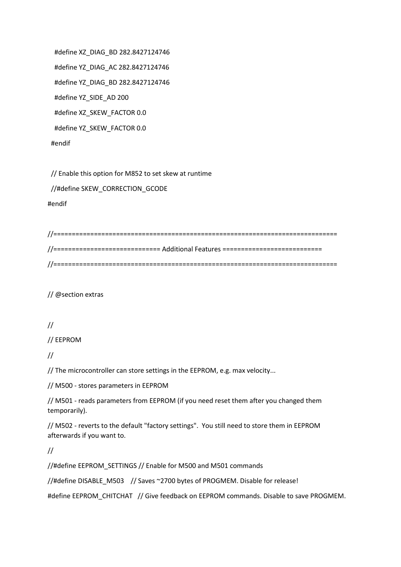#define XZ\_DIAG\_BD 282.8427124746 #define YZ\_DIAG\_AC 282.8427124746 #define YZ\_DIAG\_BD 282.8427124746 #define YZ\_SIDE\_AD 200 #define XZ\_SKEW\_FACTOR 0.0 #define YZ\_SKEW\_FACTOR 0.0 #endif

 // Enable this option for M852 to set skew at runtime //#define SKEW\_CORRECTION\_GCODE #endif

//============================================================================= //============================= Additional Features =========================== //=============================================================================

// @section extras

## //

// EEPROM

//

// The microcontroller can store settings in the EEPROM, e.g. max velocity...

// M500 - stores parameters in EEPROM

// M501 - reads parameters from EEPROM (if you need reset them after you changed them temporarily).

// M502 - reverts to the default "factory settings". You still need to store them in EEPROM afterwards if you want to.

//

//#define EEPROM\_SETTINGS // Enable for M500 and M501 commands

//#define DISABLE\_M503 // Saves ~2700 bytes of PROGMEM. Disable for release!

#define EEPROM\_CHITCHAT // Give feedback on EEPROM commands. Disable to save PROGMEM.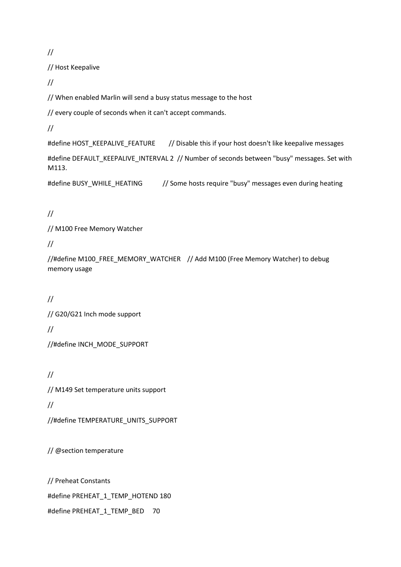//

// Host Keepalive

//

// When enabled Marlin will send a busy status message to the host

// every couple of seconds when it can't accept commands.

//

#define HOST\_KEEPALIVE\_FEATURE // Disable this if your host doesn't like keepalive messages

#define DEFAULT\_KEEPALIVE\_INTERVAL 2 // Number of seconds between "busy" messages. Set with M113.

#define BUSY\_WHILE\_HEATING // Some hosts require "busy" messages even during heating

//

// M100 Free Memory Watcher

//

//#define M100\_FREE\_MEMORY\_WATCHER // Add M100 (Free Memory Watcher) to debug memory usage

// // G20/G21 Inch mode support // //#define INCH\_MODE\_SUPPORT

// // M149 Set temperature units support // //#define TEMPERATURE\_UNITS\_SUPPORT

// @section temperature

// Preheat Constants #define PREHEAT\_1\_TEMP\_HOTEND 180 #define PREHEAT\_1\_TEMP\_BED 70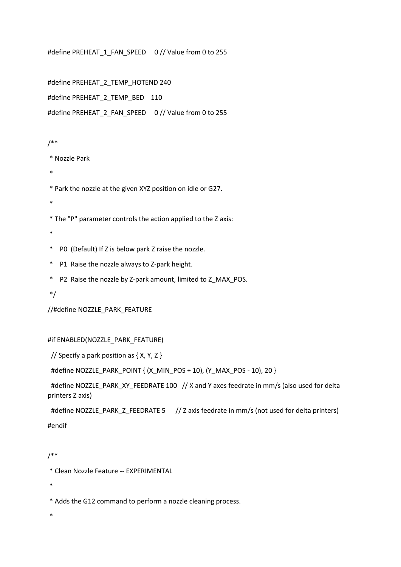#define PREHEAT\_1\_FAN\_SPEED 0 // Value from 0 to 255

#define PREHEAT\_2\_TEMP\_HOTEND 240 #define PREHEAT\_2\_TEMP\_BED 110 #define PREHEAT\_2\_FAN\_SPEED 0 // Value from 0 to 255

### /\*\*

\* Nozzle Park

- \*
- \* Park the nozzle at the given XYZ position on idle or G27.
- \*

\* The "P" parameter controls the action applied to the Z axis:

- \*
- \* P0 (Default) If Z is below park Z raise the nozzle.
- \* P1 Raise the nozzle always to Z-park height.
- \* P2 Raise the nozzle by Z-park amount, limited to Z\_MAX\_POS.
- \*/

//#define NOZZLE\_PARK\_FEATURE

#### #if ENABLED(NOZZLE\_PARK\_FEATURE)

// Specify a park position as { X, Y, Z }

#define NOZZLE\_PARK\_POINT { (X\_MIN\_POS + 10), (Y\_MAX\_POS - 10), 20 }

 #define NOZZLE\_PARK\_XY\_FEEDRATE 100 // X and Y axes feedrate in mm/s (also used for delta printers Z axis)

#define NOZZLE\_PARK\_Z\_FEEDRATE 5 // Z axis feedrate in mm/s (not used for delta printers) #endif

#### /\*\*

\* Clean Nozzle Feature -- EXPERIMENTAL

\*

\* Adds the G12 command to perform a nozzle cleaning process.

\*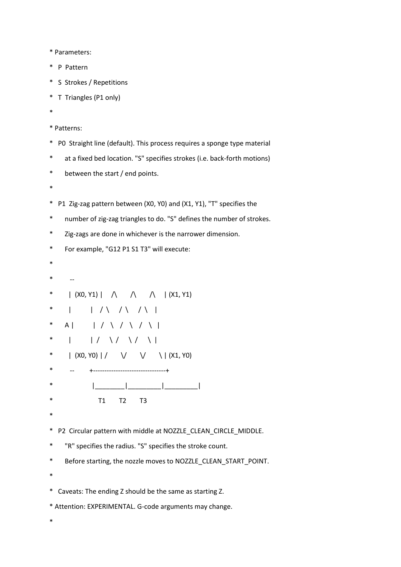\* Parameters:

- \* P Pattern
- \* S Strokes / Repetitions
- \* T Triangles (P1 only)
- \*

```
* Patterns:
```
- \* P0 Straight line (default). This process requires a sponge type material
- \* at a fixed bed location. "S" specifies strokes (i.e. back-forth motions)
- \* between the start / end points.
- \*
- \* P1 Zig-zag pattern between (X0, Y0) and (X1, Y1), "T" specifies the
- \* number of zig-zag triangles to do. "S" defines the number of strokes.
- \* Zig-zags are done in whichever is the narrower dimension.
- \* For example, "G12 P1 S1 T3" will execute:
- \*
- $-$
- \* | (X0, Y1) |  $\land$   $\land$   $\land$  | (X1, Y1)
- \* | | / \ / \ / \ |
- \* A | | / \ / \ / \ |
- \* | |/ \/ \/ \|
- \* | (X0, Y0) | /  $\vee$   $\vee$   $\vee$   $\vee$   $\vee$   $\vee$   $\vee$   $\vee$   $\vee$   $\vee$   $\vee$   $\vee$   $\vee$   $\vee$   $\vee$   $\vee$   $\vee$   $\vee$   $\vee$   $\vee$   $\vee$   $\vee$   $\vee$   $\vee$   $\vee$   $\vee$   $\vee$   $\vee$   $\vee$   $\vee$   $\vee$   $\vee$   $\vee$   $\vee$
- \* -- +--------------------------------+
- \* |\_\_\_\_\_\_\_\_|\_\_\_\_\_\_\_\_\_|\_\_\_\_\_\_\_\_\_|
- \* T1 T2 T3
- \*
- \* P2 Circular pattern with middle at NOZZLE\_CLEAN\_CIRCLE\_MIDDLE.
- \* "R" specifies the radius. "S" specifies the stroke count.
- \* Before starting, the nozzle moves to NOZZLE\_CLEAN\_START\_POINT.
- \*
- \* Caveats: The ending Z should be the same as starting Z.
- \* Attention: EXPERIMENTAL. G-code arguments may change.
- \*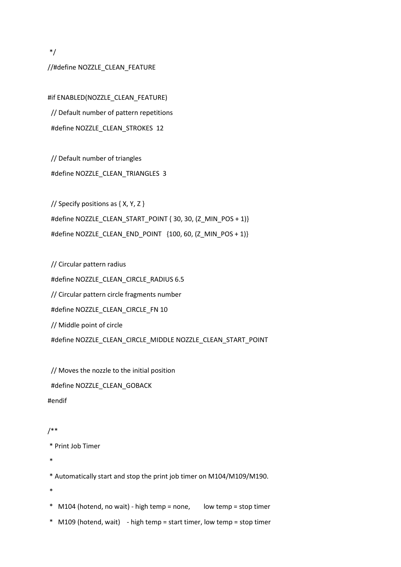\*/

#### //#define NOZZLE\_CLEAN\_FEATURE

#if ENABLED(NOZZLE\_CLEAN\_FEATURE) // Default number of pattern repetitions #define NOZZLE\_CLEAN\_STROKES 12

 // Default number of triangles #define NOZZLE\_CLEAN\_TRIANGLES 3

 // Specify positions as { X, Y, Z } #define NOZZLE\_CLEAN\_START\_POINT { 30, 30, (Z\_MIN\_POS + 1)} #define NOZZLE\_CLEAN\_END\_POINT  $\{100, 60, (Z_MIN_POS + 1)\}$ 

 // Circular pattern radius #define NOZZLE\_CLEAN\_CIRCLE\_RADIUS 6.5 // Circular pattern circle fragments number #define NOZZLE\_CLEAN\_CIRCLE\_FN 10 // Middle point of circle #define NOZZLE\_CLEAN\_CIRCLE\_MIDDLE NOZZLE\_CLEAN\_START\_POINT

 // Moves the nozzle to the initial position #define NOZZLE\_CLEAN\_GOBACK #endif

#### /\*\*

```
* Print Job Timer
```
\*

\* Automatically start and stop the print job timer on M104/M109/M190.

- \*
- \* M104 (hotend, no wait) high temp = none, low temp = stop timer
- \* M109 (hotend, wait) high temp = start timer, low temp = stop timer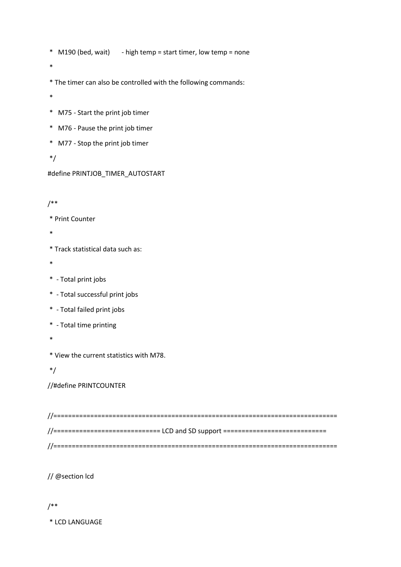- \* M190 (bed, wait) high temp = start timer, low temp = none
- \*
- \* The timer can also be controlled with the following commands:
- \*
- \* M75 Start the print job timer
- \* M76 Pause the print job timer
- \* M77 Stop the print job timer

\*/

#define PRINTJOB\_TIMER\_AUTOSTART

### /\*\*

\* Print Counter

\*

\* Track statistical data such as:

- \*
- \* Total print jobs
- \* Total successful print jobs
- \* Total failed print jobs
- \* Total time printing
- \*

\* View the current statistics with M78.

\*/

//#define PRINTCOUNTER

//============================================================================= //============================= LCD and SD support ============================ //=============================================================================

// @section lcd

#### /\*\*

\* LCD LANGUAGE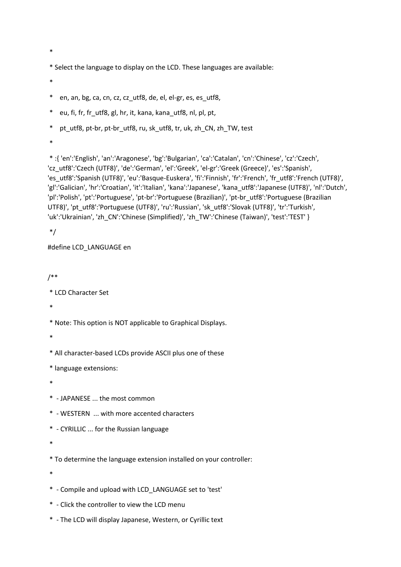\*

\* Select the language to display on the LCD. These languages are available:

\*

\* en, an, bg, ca, cn, cz, cz\_utf8, de, el, el-gr, es, es\_utf8,

\* eu, fi, fr, fr\_utf8, gl, hr, it, kana, kana\_utf8, nl, pl, pt,

\* pt\_utf8, pt-br, pt-br\_utf8, ru, sk\_utf8, tr, uk, zh\_CN, zh\_TW, test

\*

\* :{ 'en':'English', 'an':'Aragonese', 'bg':'Bulgarian', 'ca':'Catalan', 'cn':'Chinese', 'cz':'Czech', 'cz\_utf8':'Czech (UTF8)', 'de':'German', 'el':'Greek', 'el-gr':'Greek (Greece)', 'es':'Spanish', 'es\_utf8':'Spanish (UTF8)', 'eu':'Basque-Euskera', 'fi':'Finnish', 'fr':'French', 'fr\_utf8':'French (UTF8)', 'gl':'Galician', 'hr':'Croatian', 'it':'Italian', 'kana':'Japanese', 'kana\_utf8':'Japanese (UTF8)', 'nl':'Dutch', 'pl':'Polish', 'pt':'Portuguese', 'pt-br':'Portuguese (Brazilian)', 'pt-br\_utf8':'Portuguese (Brazilian UTF8)', 'pt\_utf8':'Portuguese (UTF8)', 'ru':'Russian', 'sk\_utf8':'Slovak (UTF8)', 'tr':'Turkish', 'uk':'Ukrainian', 'zh\_CN':'Chinese (Simplified)', 'zh\_TW':'Chinese (Taiwan)', 'test':'TEST' }

\*/

#### #define LCD\_LANGUAGE en

/\*\*

```
* LCD Character Set
```
\*

\* Note: This option is NOT applicable to Graphical Displays.

\*

\* All character-based LCDs provide ASCII plus one of these

\* language extensions:

\*

\* - JAPANESE ... the most common

- \* WESTERN ... with more accented characters
- \* CYRILLIC ... for the Russian language

\*

\* To determine the language extension installed on your controller:

\*

- \* Compile and upload with LCD\_LANGUAGE set to 'test'
- \* Click the controller to view the LCD menu
- \* The LCD will display Japanese, Western, or Cyrillic text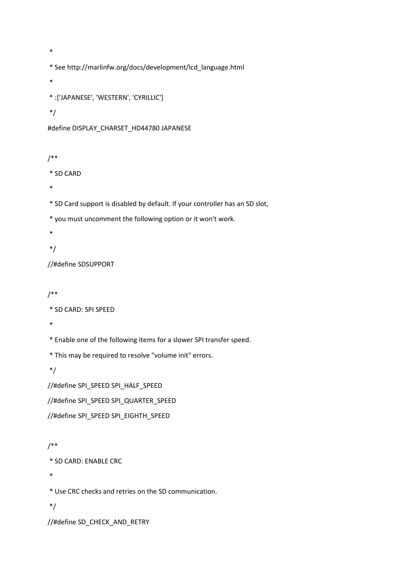\*

- \* See http://marlinfw.org/docs/development/lcd\_language.html
- \*

```
* :['JAPANESE', 'WESTERN', 'CYRILLIC']
```
#### \*/

```
#define DISPLAY_CHARSET_HD44780 JAPANESE
```
## /\*\*

\* SD CARD

\*

\* SD Card support is disabled by default. If your controller has an SD slot,

\* you must uncomment the following option or it won't work.

\*

\*/

//#define SDSUPPORT

## /\*\*

```
* SD CARD: SPI SPEED
```
\*

\* Enable one of the following items for a slower SPI transfer speed.

\* This may be required to resolve "volume init" errors.

\*/

//#define SPI\_SPEED SPI\_HALF\_SPEED

//#define SPI\_SPEED SPI\_QUARTER\_SPEED

//#define SPI\_SPEED SPI\_EIGHTH\_SPEED

## /\*\*

\* SD CARD: ENABLE CRC

\*

\* Use CRC checks and retries on the SD communication.

\*/

//#define SD\_CHECK\_AND\_RETRY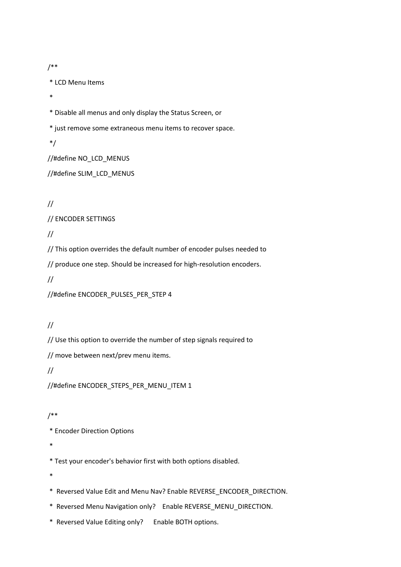/\*\*

\* LCD Menu Items

\*

\* Disable all menus and only display the Status Screen, or

\* just remove some extraneous menu items to recover space.

\*/

//#define NO\_LCD\_MENUS

//#define SLIM\_LCD\_MENUS

//

// ENCODER SETTINGS

//

// This option overrides the default number of encoder pulses needed to

// produce one step. Should be increased for high-resolution encoders.

//

//#define ENCODER\_PULSES\_PER\_STEP 4

//

// Use this option to override the number of step signals required to

// move between next/prev menu items.

//

//#define ENCODER\_STEPS\_PER\_MENU\_ITEM 1

/\*\*

\* Encoder Direction Options

\*

\* Test your encoder's behavior first with both options disabled.

\*

\* Reversed Value Edit and Menu Nav? Enable REVERSE\_ENCODER\_DIRECTION.

\* Reversed Menu Navigation only? Enable REVERSE\_MENU\_DIRECTION.

\* Reversed Value Editing only? Enable BOTH options.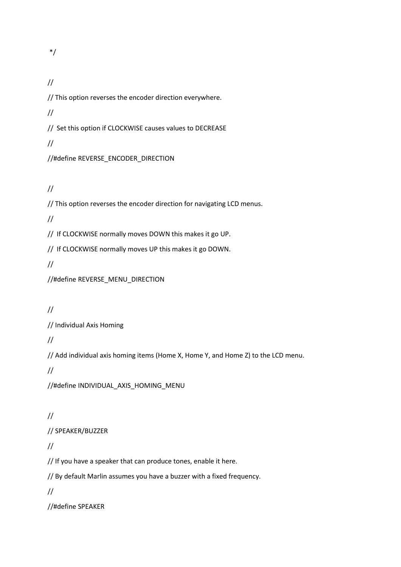\*/

# //

// This option reverses the encoder direction everywhere.

//

// Set this option if CLOCKWISE causes values to DECREASE

//

//#define REVERSE\_ENCODER\_DIRECTION

//

// This option reverses the encoder direction for navigating LCD menus.

//

// If CLOCKWISE normally moves DOWN this makes it go UP.

// If CLOCKWISE normally moves UP this makes it go DOWN.

//

//#define REVERSE\_MENU\_DIRECTION

# //

// Individual Axis Homing

//

// Add individual axis homing items (Home X, Home Y, and Home Z) to the LCD menu.

//

//#define INDIVIDUAL\_AXIS\_HOMING\_MENU

# //

// SPEAKER/BUZZER

# //

// If you have a speaker that can produce tones, enable it here.

// By default Marlin assumes you have a buzzer with a fixed frequency.

//

//#define SPEAKER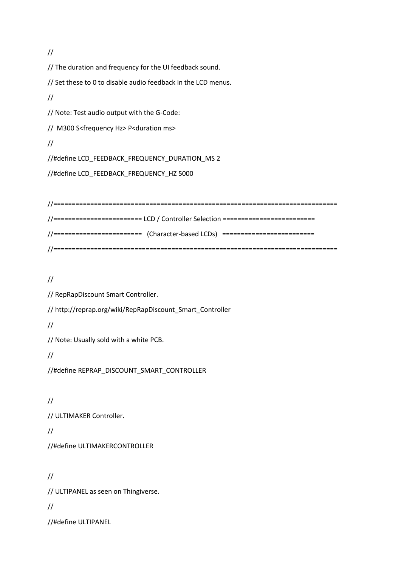//

// The duration and frequency for the UI feedback sound.

// Set these to 0 to disable audio feedback in the LCD menus.

//

// Note: Test audio output with the G-Code:

// M300 S<frequency Hz> P<duration ms>

//

//#define LCD\_FEEDBACK\_FREQUENCY\_DURATION\_MS 2

//#define LCD\_FEEDBACK\_FREQUENCY\_HZ 5000

//============================================================================= //======================== LCD / Controller Selection ========================= //======================== (Character-based LCDs) ========================= //=============================================================================

//

// RepRapDiscount Smart Controller.

// http://reprap.org/wiki/RepRapDiscount\_Smart\_Controller

//

// Note: Usually sold with a white PCB.

//

//#define REPRAP\_DISCOUNT\_SMART\_CONTROLLER

//

// ULTIMAKER Controller.

//

//#define ULTIMAKERCONTROLLER

// // ULTIPANEL as seen on Thingiverse. //

//#define ULTIPANEL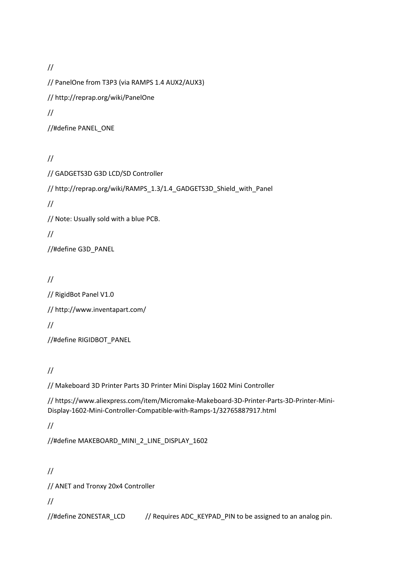// // PanelOne from T3P3 (via RAMPS 1.4 AUX2/AUX3) // http://reprap.org/wiki/PanelOne // //#define PANEL\_ONE

# //

// GADGETS3D G3D LCD/SD Controller // http://reprap.org/wiki/RAMPS\_1.3/1.4\_GADGETS3D\_Shield\_with\_Panel // // Note: Usually sold with a blue PCB. // //#define G3D\_PANEL

# //

// RigidBot Panel V1.0 // http://www.inventapart.com/ // //#define RIGIDBOT\_PANEL

# //

// Makeboard 3D Printer Parts 3D Printer Mini Display 1602 Mini Controller

// https://www.aliexpress.com/item/Micromake-Makeboard-3D-Printer-Parts-3D-Printer-Mini-Display-1602-Mini-Controller-Compatible-with-Ramps-1/32765887917.html

//

//#define MAKEBOARD\_MINI\_2\_LINE\_DISPLAY\_1602

//

// ANET and Tronxy 20x4 Controller

//

//#define ZONESTAR\_LCD // Requires ADC\_KEYPAD\_PIN to be assigned to an analog pin.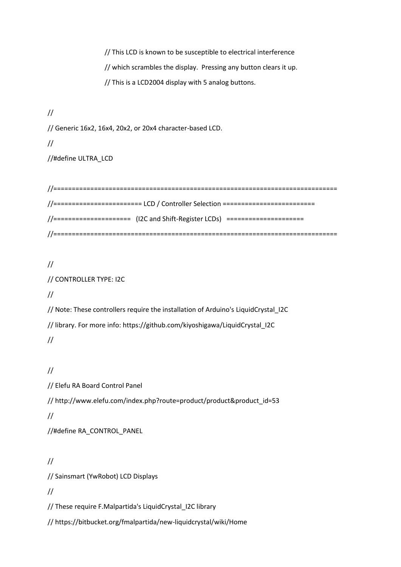// This LCD is known to be susceptible to electrical interference // which scrambles the display. Pressing any button clears it up. // This is a LCD2004 display with 5 analog buttons.

//

// Generic 16x2, 16x4, 20x2, or 20x4 character-based LCD.

//

//#define ULTRA\_LCD

//============================================================================= //======================== LCD / Controller Selection ========================= //===================== (I2C and Shift-Register LCDs) ===================== //=============================================================================

## //

## // CONTROLLER TYPE: I2C

//

// Note: These controllers require the installation of Arduino's LiquidCrystal\_I2C // library. For more info: https://github.com/kiyoshigawa/LiquidCrystal\_I2C //

## //

// Elefu RA Board Control Panel

// http://www.elefu.com/index.php?route=product/product&product\_id=53

//

//#define RA\_CONTROL\_PANEL

## //

// Sainsmart (YwRobot) LCD Displays

//

// These require F.Malpartida's LiquidCrystal\_I2C library

// https://bitbucket.org/fmalpartida/new-liquidcrystal/wiki/Home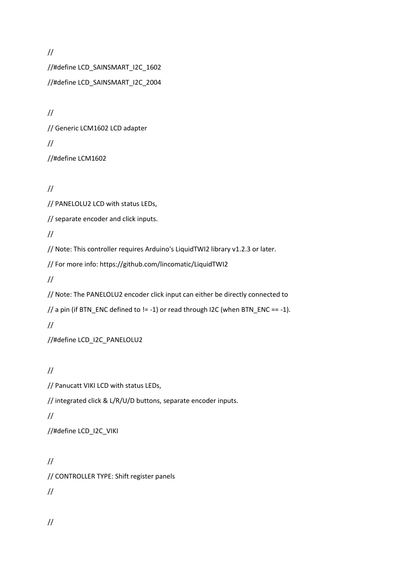// //#define LCD\_SAINSMART\_I2C\_1602 //#define LCD\_SAINSMART\_I2C\_2004

// // Generic LCM1602 LCD adapter // //#define LCM1602

//

// PANELOLU2 LCD with status LEDs,

// separate encoder and click inputs.

//

// Note: This controller requires Arduino's LiquidTWI2 library v1.2.3 or later.

// For more info: https://github.com/lincomatic/LiquidTWI2

//

// Note: The PANELOLU2 encoder click input can either be directly connected to

```
// a pin (if BTN_ENC defined to != -1) or read through I2C (when BTN_ENC == -1).
```
//

//#define LCD\_I2C\_PANELOLU2

//

// Panucatt VIKI LCD with status LEDs,

// integrated click & L/R/U/D buttons, separate encoder inputs.

//

//#define LCD\_I2C\_VIKI

// // CONTROLLER TYPE: Shift register panels //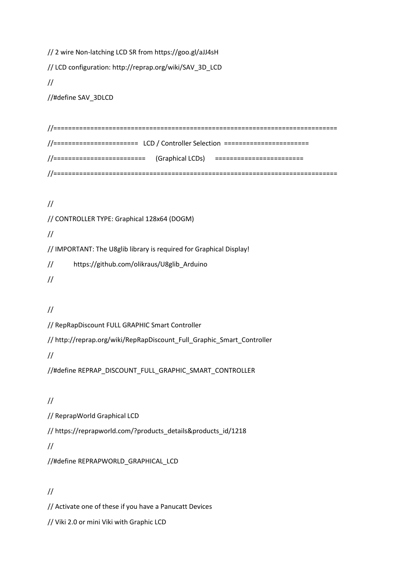// 2 wire Non-latching LCD SR from https://goo.gl/aJJ4sH

// LCD configuration: http://reprap.org/wiki/SAV\_3D\_LCD

//

//#define SAV\_3DLCD

//============================================================================= //======================= LCD / Controller Selection =======================  $// \n= 1 |$ //=============================================================================

//

// CONTROLLER TYPE: Graphical 128x64 (DOGM)

//

// IMPORTANT: The U8glib library is required for Graphical Display!

// https://github.com/olikraus/U8glib\_Arduino

//

//

// RepRapDiscount FULL GRAPHIC Smart Controller

// http://reprap.org/wiki/RepRapDiscount\_Full\_Graphic\_Smart\_Controller

//

//#define REPRAP\_DISCOUNT\_FULL\_GRAPHIC\_SMART\_CONTROLLER

//

// ReprapWorld Graphical LCD

// https://reprapworld.com/?products\_details&products\_id/1218

//

//#define REPRAPWORLD\_GRAPHICAL\_LCD

# //

// Activate one of these if you have a Panucatt Devices

// Viki 2.0 or mini Viki with Graphic LCD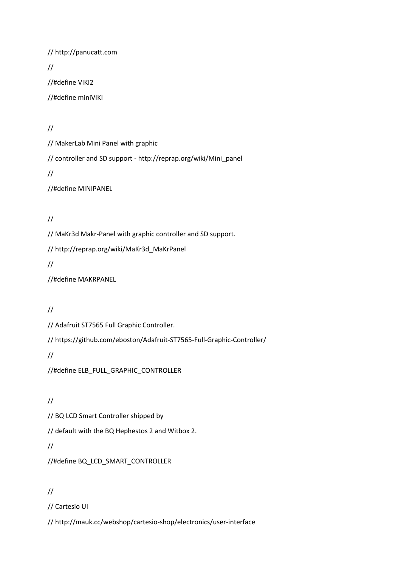// http://panucatt.com // //#define VIKI2 //#define miniVIKI

//

// MakerLab Mini Panel with graphic

// controller and SD support - http://reprap.org/wiki/Mini\_panel

//

//#define MINIPANEL

//

// MaKr3d Makr-Panel with graphic controller and SD support.

// http://reprap.org/wiki/MaKr3d\_MaKrPanel

//

//#define MAKRPANEL

//

// Adafruit ST7565 Full Graphic Controller.

// https://github.com/eboston/Adafruit-ST7565-Full-Graphic-Controller/

//

//#define ELB\_FULL\_GRAPHIC\_CONTROLLER

//

// BQ LCD Smart Controller shipped by

// default with the BQ Hephestos 2 and Witbox 2.

//

//#define BQ\_LCD\_SMART\_CONTROLLER

# //

// Cartesio UI

// http://mauk.cc/webshop/cartesio-shop/electronics/user-interface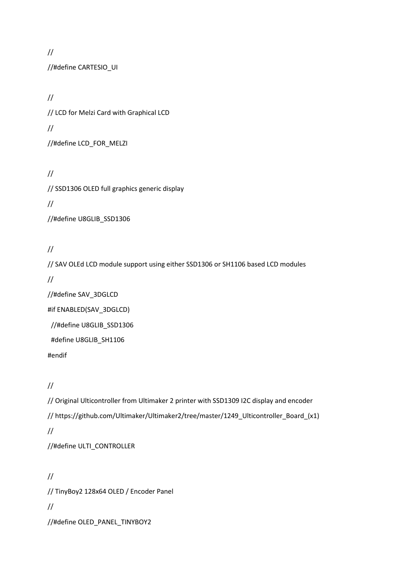//

//#define CARTESIO\_UI

// // LCD for Melzi Card with Graphical LCD // //#define LCD\_FOR\_MELZI

// // SSD1306 OLED full graphics generic display // //#define U8GLIB\_SSD1306

# //

// SAV OLEd LCD module support using either SSD1306 or SH1106 based LCD modules // //#define SAV\_3DGLCD #if ENABLED(SAV\_3DGLCD) //#define U8GLIB\_SSD1306

#define U8GLIB\_SH1106

#endif

//

// Original Ulticontroller from Ultimaker 2 printer with SSD1309 I2C display and encoder // https://github.com/Ultimaker/Ultimaker2/tree/master/1249\_Ulticontroller\_Board\_(x1) // //#define ULTI\_CONTROLLER

// // TinyBoy2 128x64 OLED / Encoder Panel // //#define OLED\_PANEL\_TINYBOY2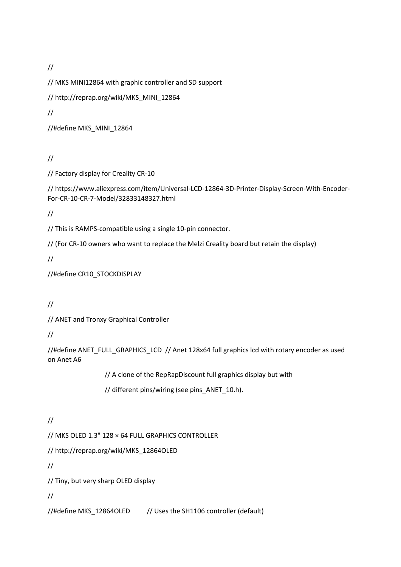//

// MKS MINI12864 with graphic controller and SD support

// http://reprap.org/wiki/MKS\_MINI\_12864

//

//#define MKS\_MINI\_12864

//

// Factory display for Creality CR-10

// https://www.aliexpress.com/item/Universal-LCD-12864-3D-Printer-Display-Screen-With-Encoder-For-CR-10-CR-7-Model/32833148327.html

//

// This is RAMPS-compatible using a single 10-pin connector.

// (For CR-10 owners who want to replace the Melzi Creality board but retain the display)

//

//#define CR10\_STOCKDISPLAY

//

// ANET and Tronxy Graphical Controller

//

//#define ANET\_FULL\_GRAPHICS\_LCD // Anet 128x64 full graphics lcd with rotary encoder as used on Anet A6

// A clone of the RepRapDiscount full graphics display but with

// different pins/wiring (see pins ANET 10.h).

# //

// MKS OLED 1.3" 128 × 64 FULL GRAPHICS CONTROLLER

// http://reprap.org/wiki/MKS\_12864OLED

//

// Tiny, but very sharp OLED display

//

//#define MKS\_12864OLED // Uses the SH1106 controller (default)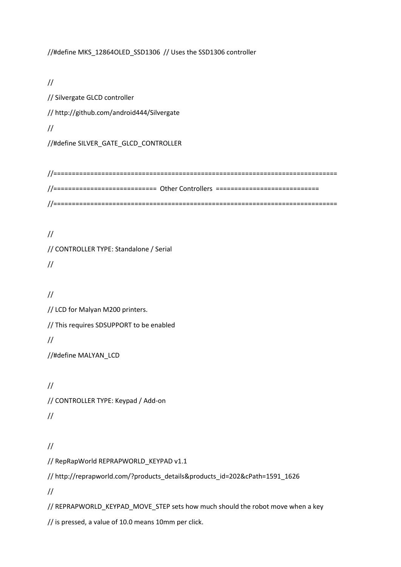//#define MKS\_12864OLED\_SSD1306 // Uses the SSD1306 controller

// // Silvergate GLCD controller // http://github.com/android444/Silvergate // //#define SILVER\_GATE\_GLCD\_CONTROLLER

//============================================================================= //============================ Other Controllers ============================ //=============================================================================

// // CONTROLLER TYPE: Standalone / Serial //

//

// LCD for Malyan M200 printers.

// This requires SDSUPPORT to be enabled

//

//#define MALYAN\_LCD

// // CONTROLLER TYPE: Keypad / Add-on //

```
//
```
// RepRapWorld REPRAPWORLD\_KEYPAD v1.1

// http://reprapworld.com/?products\_details&products\_id=202&cPath=1591\_1626

//

// REPRAPWORLD\_KEYPAD\_MOVE\_STEP sets how much should the robot move when a key

// is pressed, a value of 10.0 means 10mm per click.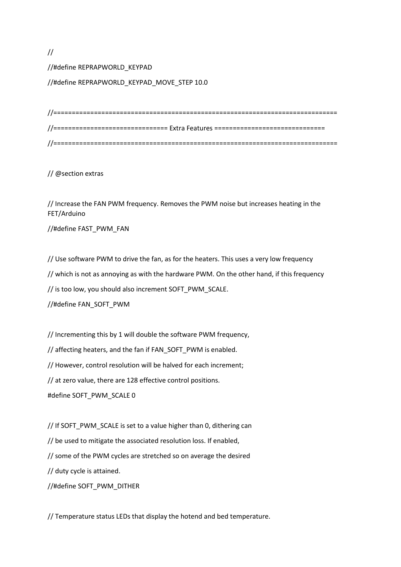## //

//#define REPRAPWORLD\_KEYPAD

//#define REPRAPWORLD\_KEYPAD\_MOVE\_STEP 10.0

| //============================== Extra Features ================================ |
|----------------------------------------------------------------------------------|
|                                                                                  |

// @section extras

// Increase the FAN PWM frequency. Removes the PWM noise but increases heating in the FET/Arduino

//#define FAST\_PWM\_FAN

// Use software PWM to drive the fan, as for the heaters. This uses a very low frequency

// which is not as annoying as with the hardware PWM. On the other hand, if this frequency

// is too low, you should also increment SOFT\_PWM\_SCALE.

//#define FAN\_SOFT\_PWM

// Incrementing this by 1 will double the software PWM frequency,

// affecting heaters, and the fan if FAN\_SOFT\_PWM is enabled.

// However, control resolution will be halved for each increment;

// at zero value, there are 128 effective control positions.

#define SOFT\_PWM\_SCALE 0

// If SOFT\_PWM\_SCALE is set to a value higher than 0, dithering can // be used to mitigate the associated resolution loss. If enabled, // some of the PWM cycles are stretched so on average the desired // duty cycle is attained. //#define SOFT\_PWM\_DITHER

// Temperature status LEDs that display the hotend and bed temperature.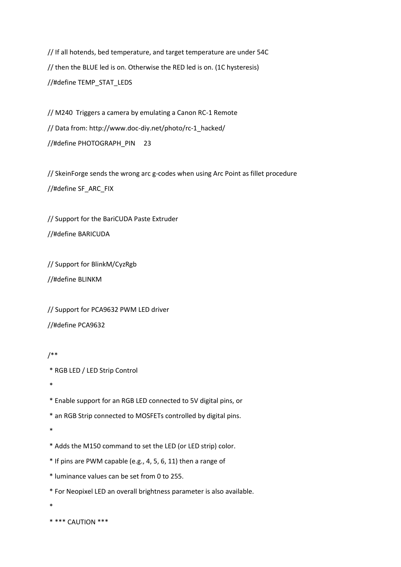// If all hotends, bed temperature, and target temperature are under 54C // then the BLUE led is on. Otherwise the RED led is on. (1C hysteresis) //#define TEMP\_STAT\_LEDS

// M240 Triggers a camera by emulating a Canon RC-1 Remote // Data from: http://www.doc-diy.net/photo/rc-1\_hacked/ //#define PHOTOGRAPH\_PIN 23

// SkeinForge sends the wrong arc g-codes when using Arc Point as fillet procedure //#define SF\_ARC\_FIX

// Support for the BariCUDA Paste Extruder //#define BARICUDA

// Support for BlinkM/CyzRgb //#define BLINKM

// Support for PCA9632 PWM LED driver //#define PCA9632

```
/**
```
\* RGB LED / LED Strip Control

\*

\* Enable support for an RGB LED connected to 5V digital pins, or

\* an RGB Strip connected to MOSFETs controlled by digital pins.

\*

- \* Adds the M150 command to set the LED (or LED strip) color.
- \* If pins are PWM capable (e.g., 4, 5, 6, 11) then a range of
- \* luminance values can be set from 0 to 255.
- \* For Neopixel LED an overall brightness parameter is also available.
- \*

```
* *** CAUTION ***
```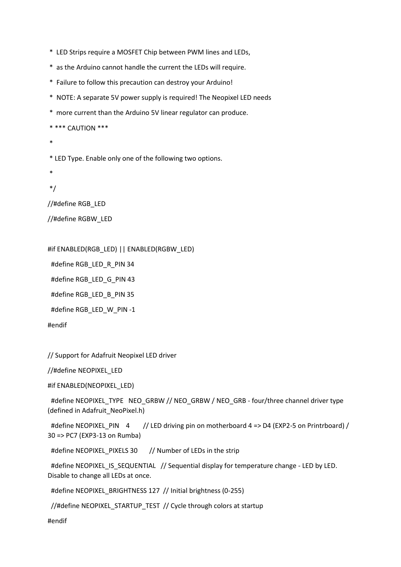\* LED Strips require a MOSFET Chip between PWM lines and LEDs,

\* as the Arduino cannot handle the current the LEDs will require.

\* Failure to follow this precaution can destroy your Arduino!

\* NOTE: A separate 5V power supply is required! The Neopixel LED needs

\* more current than the Arduino 5V linear regulator can produce.

\* \*\*\* CAUTION \*\*\*

\*

\* LED Type. Enable only one of the following two options.

\*

\*/

//#define RGB\_LED

//#define RGBW\_LED

#if ENABLED(RGB\_LED) || ENABLED(RGBW\_LED)

#define RGB\_LED\_R\_PIN 34

#define RGB\_LED\_G\_PIN 43

#define RGB\_LED\_B\_PIN 35

#define RGB\_LED\_W\_PIN -1

#endif

// Support for Adafruit Neopixel LED driver

//#define NEOPIXEL\_LED

#if ENABLED(NEOPIXEL\_LED)

#define NEOPIXEL\_TYPE NEO\_GRBW // NEO\_GRBW / NEO\_GRB - four/three channel driver type (defined in Adafruit\_NeoPixel.h)

#define NEOPIXEL PIN 4 // LED driving pin on motherboard 4 => D4 (EXP2-5 on Printrboard) / 30 => PC7 (EXP3-13 on Rumba)

#define NEOPIXEL\_PIXELS 30 // Number of LEDs in the strip

#define NEOPIXEL\_IS\_SEQUENTIAL // Sequential display for temperature change - LED by LED. Disable to change all LEDs at once.

#define NEOPIXEL\_BRIGHTNESS 127 // Initial brightness (0-255)

//#define NEOPIXEL\_STARTUP\_TEST // Cycle through colors at startup

#endif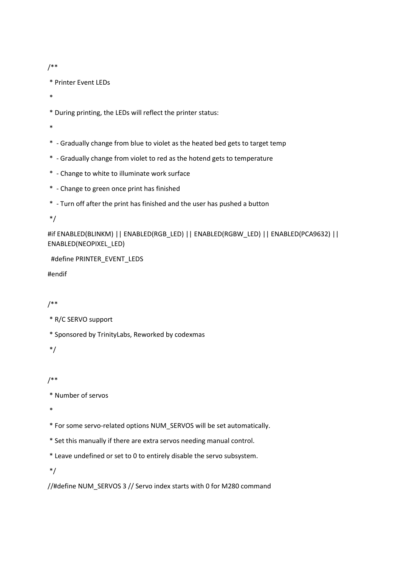```
/**
```
\* Printer Event LEDs

\*

\* During printing, the LEDs will reflect the printer status:

\*

- \* Gradually change from blue to violet as the heated bed gets to target temp
- \* Gradually change from violet to red as the hotend gets to temperature
- \* Change to white to illuminate work surface
- \* Change to green once print has finished
- \* Turn off after the print has finished and the user has pushed a button

\*/

#if ENABLED(BLINKM) || ENABLED(RGB\_LED) || ENABLED(RGBW\_LED) || ENABLED(PCA9632) || ENABLED(NEOPIXEL\_LED)

#define PRINTER\_EVENT\_LEDS

#endif

## /\*\*

```
* R/C SERVO support
```
\* Sponsored by TrinityLabs, Reworked by codexmas

\*/

## /\*\*

\* Number of servos

\*

\* For some servo-related options NUM\_SERVOS will be set automatically.

- \* Set this manually if there are extra servos needing manual control.
- \* Leave undefined or set to 0 to entirely disable the servo subsystem.

\*/

//#define NUM\_SERVOS 3 // Servo index starts with 0 for M280 command